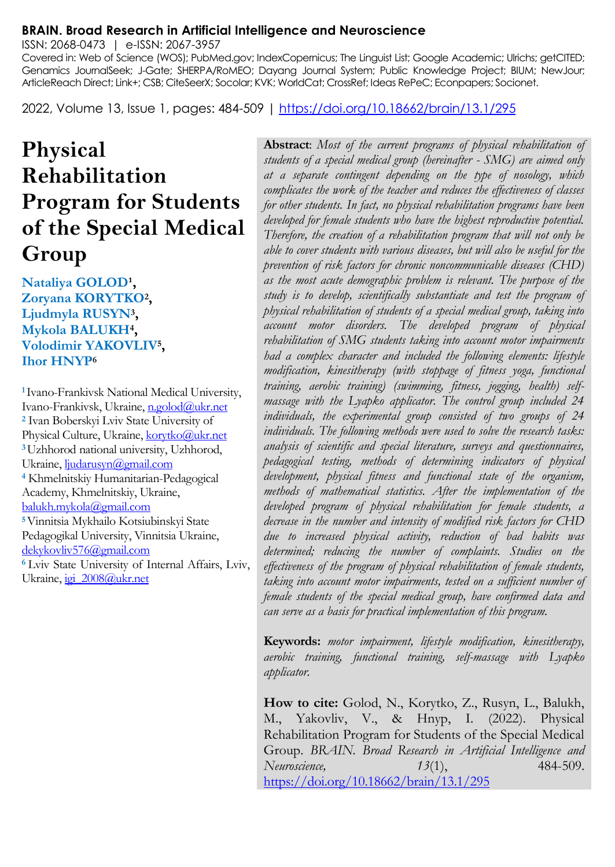#### **BRAIN. Broad Research in Artificial Intelligence and Neuroscience**

ISSN: 2068-0473 | e-ISSN: 2067-3957

Covered in: Web of Science (WOS); PubMed.gov; IndexCopernicus; The Linguist List; Google Academic; Ulrichs; getCITED; Genamics JournalSeek; J-Gate; SHERPA/RoMEO; Dayang Journal System; Public Knowledge Project; BIUM; NewJour; ArticleReach Direct; Link+; CSB; CiteSeerX; Socolar; KVK; WorldCat; CrossRef; Ideas RePeC; Econpapers; Socionet.

2022, Volume 13, Issue 1, pages: 484-509 |<https://doi.org/10.18662/brain/13.1/295>

# **Physical Rehabilitation Program for Students of the Special Medical Group**

## Nataliya GOLOD<sup>1</sup>, **Zoryana KORYTKO<sup>2</sup> , Ljudmyla RUSYN<sup>3</sup> , Mykola BALUKH<sup>4</sup> , Volodimir YAKOVLIV<sup>5</sup> , Ihor HNYP<sup>6</sup>**

**<sup>1</sup>**Ivano-Frankivsk National Medical University, Ivano-Frankivsk, Ukraine, n.golod@ukr.net **<sup>2</sup>** Ivan Boberskyi Lviv State University of Physical Culture, Ukraine, korytko@ukr.net **<sup>3</sup>**Uzhhorod national university, Uzhhorod, Ukraine[, ljudarusyn@gmail.com](mailto:ljudarusyn@gmail.com)  **<sup>4</sup>** Khmelnitskiy Humanitarian-Pedagogical Academy, Khmelnitskiy, Ukraine, [balukh.mykola@gmail.com](mailto:balukh.mykola@gmail.com)  **<sup>5</sup>**Vinnitsia Mykhailo Kotsiubinskyi State Pedagogikal University, Vinnitsia Ukraine, [dekykovliv576@gmail.com](mailto:dekykovliv576@gmail.com)  **<sup>6</sup>**Lviv State University of Internal Affairs, Lviv, Ukraine, igi\_2008@ukr.net

**Abstract**: *Most of the current programs of physical rehabilitation of students of a special medical group (hereinafter - SMG) are aimed only at a separate contingent depending on the type of nosology, which complicates the work of the teacher and reduces the effectiveness of classes for other students. In fact, no physical rehabilitation programs have been developed for female students who have the highest reproductive potential. Therefore, the creation of a rehabilitation program that will not only be able to cover students with various diseases, but will also be useful for the prevention of risk factors for chronic noncommunicable diseases (CHD) as the most acute demographic problem is relevant. The purpose of the study is to develop, scientifically substantiate and test the program of physical rehabilitation of students of a special medical group, taking into account motor disorders. The developed program of physical rehabilitation of SMG students taking into account motor impairments had a complex character and included the following elements: lifestyle modification, kinesitherapy (with stoppage of fitness yoga, functional training, aerobic training) (swimming, fitness, jogging, health) selfmassage with the Lyapko applicator. The control group included 24 individuals, the experimental group consisted of two groups of 24 individuals. The following methods were used to solve the research tasks: analysis of scientific and special literature, surveys and questionnaires, pedagogical testing, methods of determining indicators of physical development, physical fitness and functional state of the organism, methods of mathematical statistics. After the implementation of the developed program of physical rehabilitation for female students, a decrease in the number and intensity of modified risk factors for CHD due to increased physical activity, reduction of bad habits was determined; reducing the number of complaints. Studies on the effectiveness of the program of physical rehabilitation of female students, taking into account motor impairments, tested on a sufficient number of female students of the special medical group, have confirmed data and can serve as a basis for practical implementation of this program.*

**Keywords:** *motor impairment, lifestyle modification, kinesitherapy, aerobic training, functional training, self-massage with Lyapko applicator.*

**How to cite:** Golod, N., Korytko, Z., Rusyn, L., Balukh, M., Yakovliv, V., & Hnyp, I. (2022). Physical Rehabilitation Program for Students of the Special Medical Group. *BRAIN. Broad Research in Artificial Intelligence and Neuroscience, 13*(1), 484-509. <https://doi.org/10.18662/brain/13.1/295>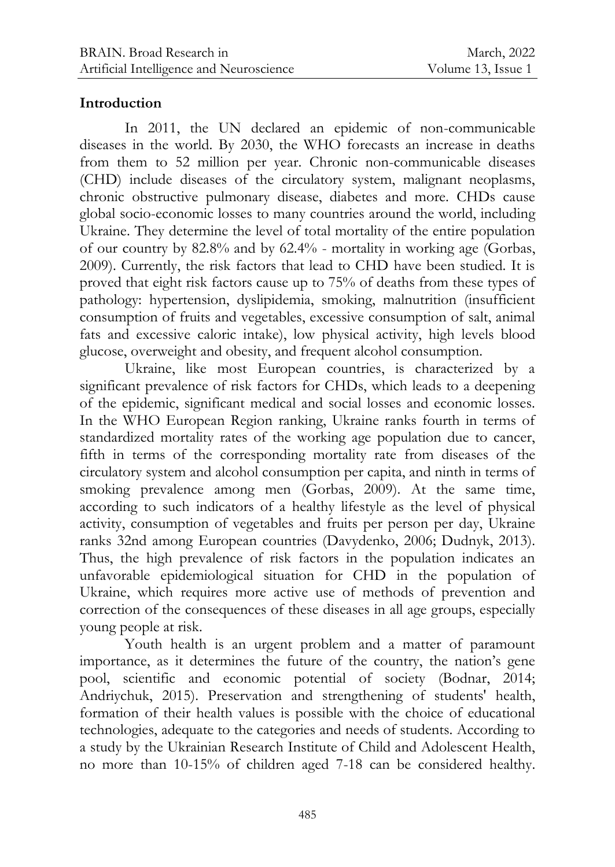## **Introduction**

In 2011, the UN declared an epidemic of non-communicable diseases in the world. By 2030, the WHO forecasts an increase in deaths from them to 52 million per year. Chronic non-communicable diseases (CHD) include diseases of the circulatory system, malignant neoplasms, chronic obstructive pulmonary disease, diabetes and more. CHDs cause global socio-economic losses to many countries around the world, including Ukraine. They determine the level of total mortality of the entire population of our country by 82.8% and by 62.4% - mortality in working age (Gorbas, 2009). Currently, the risk factors that lead to CHD have been studied. It is proved that eight risk factors cause up to 75% of deaths from these types of pathology: hypertension, dyslipidemia, smoking, malnutrition (insufficient consumption of fruits and vegetables, excessive consumption of salt, animal fats and excessive caloric intake), low physical activity, high levels blood glucose, overweight and obesity, and frequent alcohol consumption.

Ukraine, like most European countries, is characterized by a significant prevalence of risk factors for CHDs, which leads to a deepening of the epidemic, significant medical and social losses and economic losses. In the WHO European Region ranking, Ukraine ranks fourth in terms of standardized mortality rates of the working age population due to cancer, fifth in terms of the corresponding mortality rate from diseases of the circulatory system and alcohol consumption per capita, and ninth in terms of smoking prevalence among men (Gorbas, 2009). At the same time, according to such indicators of a healthy lifestyle as the level of physical activity, consumption of vegetables and fruits per person per day, Ukraine ranks 32nd among European countries (Davydenko, 2006; Dudnyk, 2013). Thus, the high prevalence of risk factors in the population indicates an unfavorable epidemiological situation for CHD in the population of Ukraine, which requires more active use of methods of prevention and correction of the consequences of these diseases in all age groups, especially young people at risk.

Youth health is an urgent problem and a matter of paramount importance, as it determines the future of the country, the nation's gene pool, scientific and economic potential of society (Bodnar, 2014; Andriychuk, 2015). Preservation and strengthening of students' health, formation of their health values is possible with the choice of educational technologies, adequate to the categories and needs of students. According to a study by the Ukrainian Research Institute of Child and Adolescent Health, no more than 10-15% of children aged 7-18 can be considered healthy.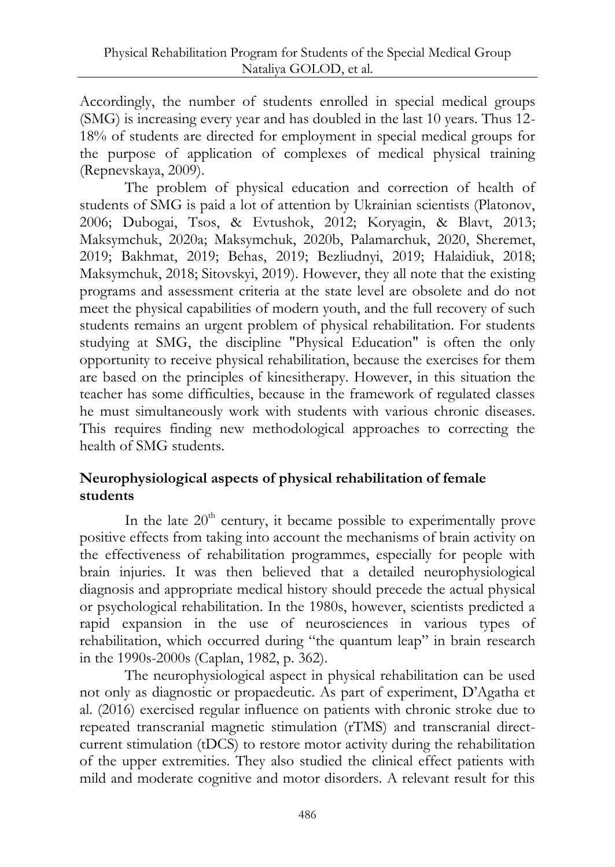Accordingly, the number of students enrolled in special medical groups (SMG) is increasing every year and has doubled in the last 10 years. Thus 12- 18% of students are directed for employment in special medical groups for the purpose of application of complexes of medical physical training (Repnevskaya, 2009).

The problem of physical education and correction of health of students of SMG is paid a lot of attention by Ukrainian scientists (Platonov, 2006; Dubogai, Tsos, & Evtushok, 2012; Koryagin, & Blavt, 2013; Maksymchuk, 2020a; Maksymchuk, 2020b, Palamarchuk, 2020, Sheremet, 2019; Bakhmat, 2019; Behas, 2019; Bezliudnyi, 2019; Halaidiuk, 2018; Maksymchuk, 2018; Sitovskyi, 2019). However, they all note that the existing programs and assessment criteria at the state level are obsolete and do not meet the physical capabilities of modern youth, and the full recovery of such students remains an urgent problem of physical rehabilitation. For students studying at SMG, the discipline "Physical Education" is often the only opportunity to receive physical rehabilitation, because the exercises for them are based on the principles of kinesitherapy. However, in this situation the teacher has some difficulties, because in the framework of regulated classes he must simultaneously work with students with various chronic diseases. This requires finding new methodological approaches to correcting the health of SMG students.

## **Neurophysiological aspects of physical rehabilitation of female students**

In the late  $20<sup>th</sup>$  century, it became possible to experimentally prove positive effects from taking into account the mechanisms of brain activity on the effectiveness of rehabilitation programmes, especially for people with brain injuries. It was then believed that a detailed neurophysiological diagnosis and appropriate medical history should precede the actual physical or psychological rehabilitation. In the 1980s, however, scientists predicted a rapid expansion in the use of neurosciences in various types of rehabilitation, which occurred during "the quantum leap" in brain research in the 1990s-2000s (Caplan, 1982, p. 362).

The neurophysiological aspect in physical rehabilitation can be used not only as diagnostic or propaedeutic. As part of experiment, D'Agatha et al. (2016) exercised regular influence on patients with chronic stroke due to repeated transcranial magnetic stimulation (rTMS) and transcranial directcurrent stimulation (tDCS) to restore motor activity during the rehabilitation of the upper extremities. They also studied the clinical effect patients with mild and moderate cognitive and motor disorders. A relevant result for this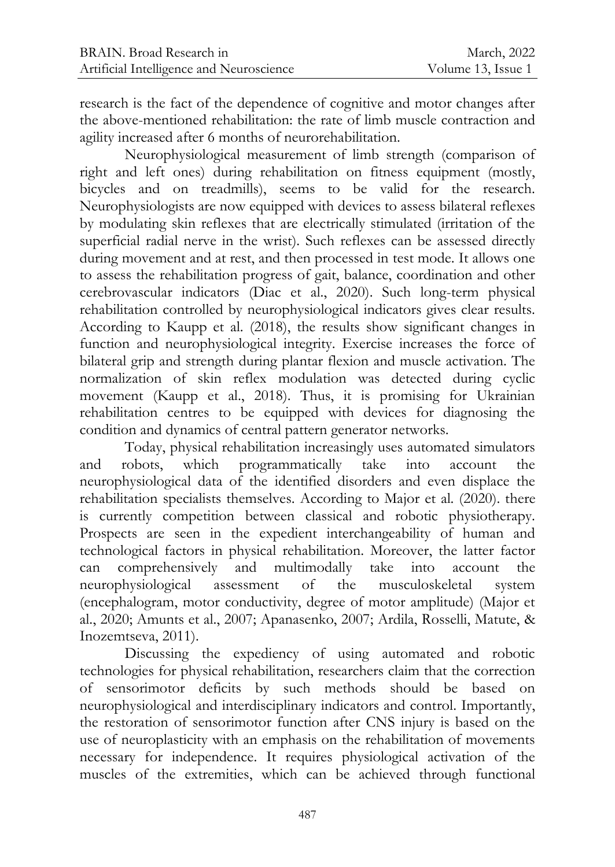research is the fact of the dependence of cognitive and motor changes after the above-mentioned rehabilitation: the rate of limb muscle contraction and agility increased after 6 months of neurorehabilitation.

Neurophysiological measurement of limb strength (comparison of right and left ones) during rehabilitation on fitness equipment (mostly, bicycles and on treadmills), seems to be valid for the research. Neurophysiologists are now equipped with devices to assess bilateral reflexes by modulating skin reflexes that are electrically stimulated (irritation of the superficial radial nerve in the wrist). Such reflexes can be assessed directly during movement and at rest, and then processed in test mode. It allows one to assess the rehabilitation progress of gait, balance, coordination and other cerebrovascular indicators (Diac et al., 2020). Such long-term physical rehabilitation controlled by neurophysiological indicators gives clear results. According to Kaupp et al. (2018), the results show significant changes in function and neurophysiological integrity. Exercise increases the force of bilateral grip and strength during plantar flexion and muscle activation. The normalization of skin reflex modulation was detected during cyclic movement (Kaupp et al., 2018). Thus, it is promising for Ukrainian rehabilitation centres to be equipped with devices for diagnosing the condition and dynamics of central pattern generator networks.

Today, physical rehabilitation increasingly uses automated simulators and robots, which programmatically take into account the neurophysiological data of the identified disorders and even displace the rehabilitation specialists themselves. According to Major et al. (2020). there is currently competition between classical and robotic physiotherapy. Prospects are seen in the expedient interchangeability of human and technological factors in physical rehabilitation. Moreover, the latter factor can comprehensively and multimodally take into account the neurophysiological assessment of the musculoskeletal system (encephalogram, motor conductivity, degree of motor amplitude) (Major et al., 2020; Amunts et al., 2007; Apanasenko, 2007; Ardila, Rosselli, Matute, & Inozemtseva, 2011).

Discussing the expediency of using automated and robotic technologies for physical rehabilitation, researchers claim that the correction of sensorimotor deficits by such methods should be based on neurophysiological and interdisciplinary indicators and control. Importantly, the restoration of sensorimotor function after CNS injury is based on the use of neuroplasticity with an emphasis on the rehabilitation of movements necessary for independence. It requires physiological activation of the muscles of the extremities, which can be achieved through functional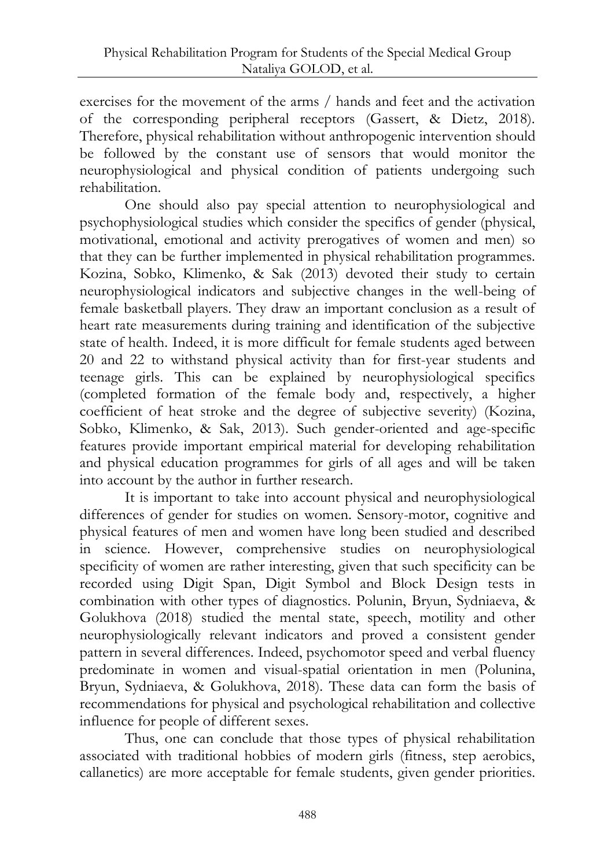exercises for the movement of the arms / hands and feet and the activation of the corresponding peripheral receptors (Gassert, & Dietz, 2018). Therefore, physical rehabilitation without anthropogenic intervention should be followed by the constant use of sensors that would monitor the neurophysiological and physical condition of patients undergoing such rehabilitation.

One should also pay special attention to neurophysiological and psychophysiological studies which consider the specifics of gender (physical, motivational, emotional and activity prerogatives of women and men) so that they can be further implemented in physical rehabilitation programmes. Kozina, Sobko, Klimenko, & Sak (2013) devoted their study to certain neurophysiological indicators and subjective changes in the well-being of female basketball players. They draw an important conclusion as a result of heart rate measurements during training and identification of the subjective state of health. Indeed, it is more difficult for female students aged between 20 and 22 to withstand physical activity than for first-year students and teenage girls. This can be explained by neurophysiological specifics (completed formation of the female body and, respectively, a higher coefficient of heat stroke and the degree of subjective severity) (Kozina, Sobko, Klimenko, & Sak, 2013). Such gender-oriented and age-specific features provide important empirical material for developing rehabilitation and physical education programmes for girls of all ages and will be taken into account by the author in further research.

It is important to take into account physical and neurophysiological differences of gender for studies on women. Sensory-motor, cognitive and physical features of men and women have long been studied and described in science. However, comprehensive studies on neurophysiological specificity of women are rather interesting, given that such specificity can be recorded using Digit Span, Digit Symbol and Block Design tests in combination with other types of diagnostics. Polunin, Bryun, Sydniaeva, & Golukhova (2018) studied the mental state, speech, motility and other neurophysiologically relevant indicators and proved a consistent gender pattern in several differences. Indeed, psychomotor speed and verbal fluency predominate in women and visual-spatial orientation in men (Polunina, Bryun, Sydniaeva, & Golukhova, 2018). These data can form the basis of recommendations for physical and psychological rehabilitation and collective influence for people of different sexes.

Thus, one can conclude that those types of physical rehabilitation associated with traditional hobbies of modern girls (fitness, step aerobics, callanetics) are more acceptable for female students, given gender priorities.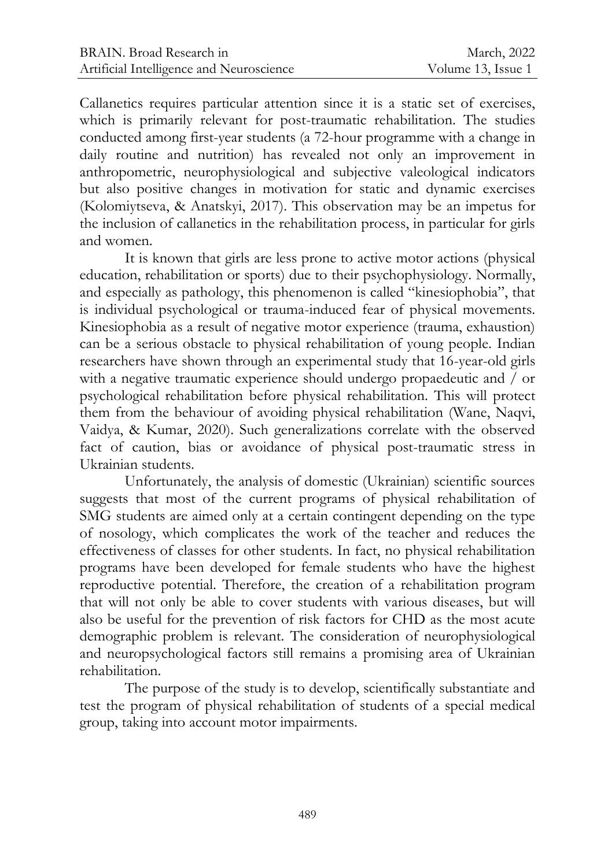Callanetics requires particular attention since it is a static set of exercises, which is primarily relevant for post-traumatic rehabilitation. The studies conducted among first-year students (a 72-hour programme with a change in daily routine and nutrition) has revealed not only an improvement in anthropometric, neurophysiological and subjective valeological indicators but also positive changes in motivation for static and dynamic exercises (Kolomiytseva, & Anatskyi, 2017). This observation may be an impetus for the inclusion of callanetics in the rehabilitation process, in particular for girls and women.

It is known that girls are less prone to active motor actions (physical education, rehabilitation or sports) due to their psychophysiology. Normally, and especially as pathology, this phenomenon is called "kinesiophobia", that is individual psychological or trauma-induced fear of physical movements. Kinesiophobia as a result of negative motor experience (trauma, exhaustion) can be a serious obstacle to physical rehabilitation of young people. Indian researchers have shown through an experimental study that 16-year-old girls with a negative traumatic experience should undergo propaedeutic and  $\bar{1}$  or psychological rehabilitation before physical rehabilitation. This will protect them from the behaviour of avoiding physical rehabilitation (Wane, Naqvi, Vaidya, & Kumar, 2020). Such generalizations correlate with the observed fact of caution, bias or avoidance of physical post-traumatic stress in Ukrainian students.

Unfortunately, the analysis of domestic (Ukrainian) scientific sources suggests that most of the current programs of physical rehabilitation of SMG students are aimed only at a certain contingent depending on the type of nosology, which complicates the work of the teacher and reduces the effectiveness of classes for other students. In fact, no physical rehabilitation programs have been developed for female students who have the highest reproductive potential. Therefore, the creation of a rehabilitation program that will not only be able to cover students with various diseases, but will also be useful for the prevention of risk factors for CHD as the most acute demographic problem is relevant. The consideration of neurophysiological and neuropsychological factors still remains a promising area of Ukrainian rehabilitation.

The purpose of the study is to develop, scientifically substantiate and test the program of physical rehabilitation of students of a special medical group, taking into account motor impairments.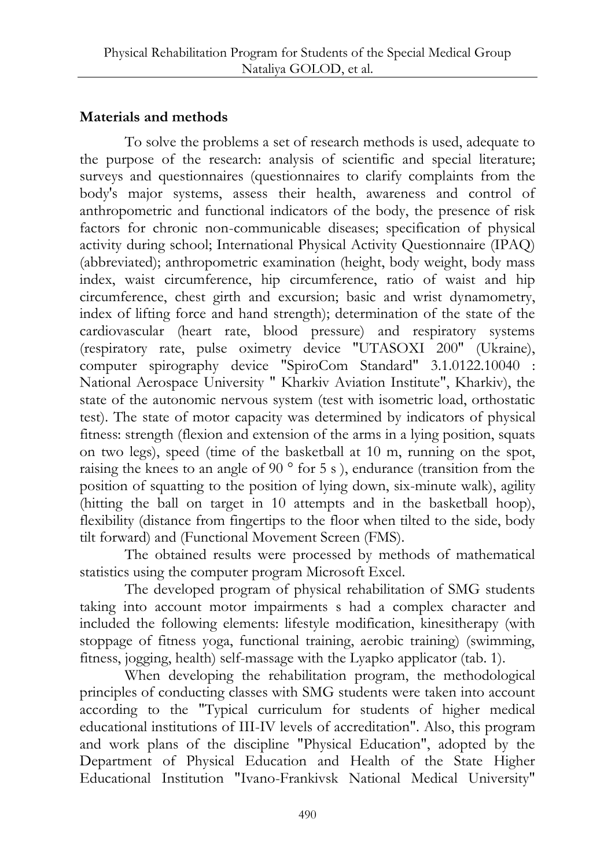## **Materials and methods**

To solve the problems a set of research methods is used, adequate to the purpose of the research: analysis of scientific and special literature; surveys and questionnaires (questionnaires to clarify complaints from the body's major systems, assess their health, awareness and control of anthropometric and functional indicators of the body, the presence of risk factors for chronic non-communicable diseases; specification of physical activity during school; International Physical Activity Questionnaire (IPAQ) (abbreviated); anthropometric examination (height, body weight, body mass index, waist circumference, hip circumference, ratio of waist and hip circumference, chest girth and excursion; basic and wrist dynamometry, index of lifting force and hand strength); determination of the state of the cardiovascular (heart rate, blood pressure) and respiratory systems (respiratory rate, pulse oximetry device "UTASOXI 200" (Ukraine), computer spirography device "SpiroCom Standard" 3.1.0122.10040 : National Aerospace University " Kharkiv Aviation Institute", Kharkiv), the state of the autonomic nervous system (test with isometric load, orthostatic test). The state of motor capacity was determined by indicators of physical fitness: strength (flexion and extension of the arms in a lying position, squats on two legs), speed (time of the basketball at 10 m, running on the spot, raising the knees to an angle of 90 ° for 5 s ), endurance (transition from the position of squatting to the position of lying down, six-minute walk), agility (hitting the ball on target in 10 attempts and in the basketball hoop), flexibility (distance from fingertips to the floor when tilted to the side, body tilt forward) and (Functional Movement Screen (FMS).

The obtained results were processed by methods of mathematical statistics using the computer program Microsoft Excel.

The developed program of physical rehabilitation of SMG students taking into account motor impairments s had a complex character and included the following elements: lifestyle modification, kinesitherapy (with stoppage of fitness yoga, functional training, aerobic training) (swimming, fitness, jogging, health) self-massage with the Lyapko applicator (tab. 1).

When developing the rehabilitation program, the methodological principles of conducting classes with SMG students were taken into account according to the "Typical curriculum for students of higher medical educational institutions of III-IV levels of accreditation". Also, this program and work plans of the discipline "Physical Education", adopted by the Department of Physical Education and Health of the State Higher Educational Institution "Ivano-Frankivsk National Medical University"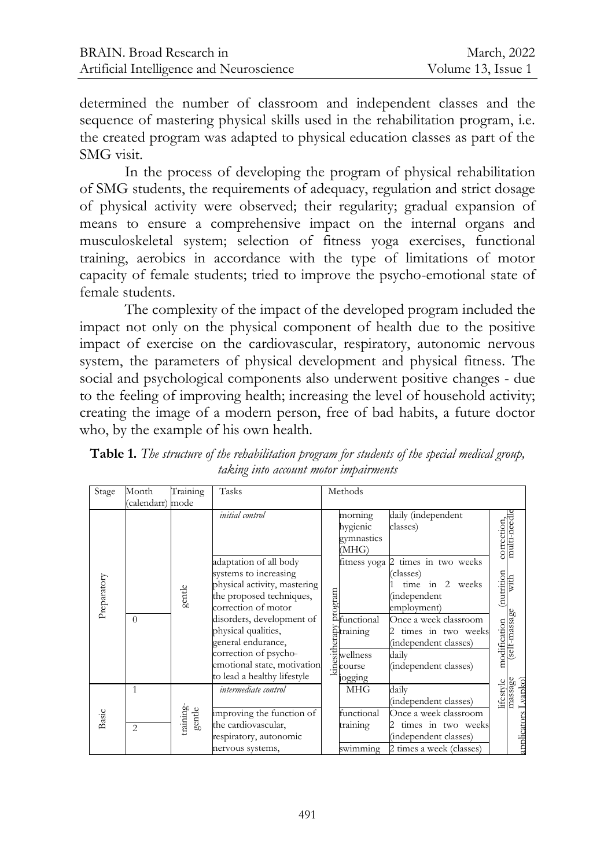determined the number of classroom and independent classes and the sequence of mastering physical skills used in the rehabilitation program, i.e. the created program was adapted to physical education classes as part of the SMG visit.

In the process of developing the program of physical rehabilitation of SMG students, the requirements of adequacy, regulation and strict dosage of physical activity were observed; their regularity; gradual expansion of means to ensure a comprehensive impact on the internal organs and musculoskeletal system; selection of fitness yoga exercises, functional training, aerobics in accordance with the type of limitations of motor capacity of female students; tried to improve the psycho-emotional state of female students.

The complexity of the impact of the developed program included the impact not only on the physical component of health due to the positive impact of exercise on the cardiovascular, respiratory, autonomic nervous system, the parameters of physical development and physical fitness. The social and psychological components also underwent positive changes - due to the feeling of improving health; increasing the level of household activity; creating the image of a modern person, free of bad habits, a future doctor who, by the example of his own health.

| Stage       | Month            | Training            | Tasks                                                                                                                              |      | Methods                                            |                                                                                                           |                                  |             |
|-------------|------------------|---------------------|------------------------------------------------------------------------------------------------------------------------------------|------|----------------------------------------------------|-----------------------------------------------------------------------------------------------------------|----------------------------------|-------------|
|             | (calendarr) mode |                     |                                                                                                                                    |      |                                                    |                                                                                                           |                                  |             |
|             |                  |                     | initial control                                                                                                                    |      | morning<br>hygienic<br>gymnastics<br>(MHG)         | daily (independent<br>classes)                                                                            | correction,<br>multi-needle      |             |
| Preparatory |                  | gentle              | adaptation of all body<br>systems to increasing<br>physical activity, mastering<br>the proposed techniques,<br>correction of motor |      | fitness yoga<br>Estate<br>Controller<br>Controller | times in two weeks<br>$\mathcal{D}$<br>(classes)<br>time in 2 weeks<br><i>(independent</i><br>employment) | (nutrition<br>with               |             |
|             | $\theta$         |                     | disorders, development of<br>physical qualities,<br>general endurance,                                                             |      | Etraining<br>u<br>$\frac{3}{5}$ wellness           | Once a week classroom<br>times in two weeks<br>(independent classes)                                      | modification (<br>(self-massage) |             |
|             |                  |                     | correction of psycho-<br>emotional state, motivation<br>to lead a healthy lifestyle                                                | kine | course<br>ogging                                   | dailv<br>(independent classes)                                                                            |                                  |             |
| Basic       | 1                | training-<br>gentle | intermediate control<br>improving the function of                                                                                  |      | <b>MHG</b><br>functional                           | daily<br>(independent classes)<br>Once a week classroom                                                   | massage<br>lifestyle             | Lvanko`     |
|             | $\overline{2}$   |                     | the cardiovascular,<br>respiratory, autonomic<br>nervous systems,                                                                  |      | training<br>swimming                               | times in two weeks<br>(independent classes)<br>2 times a week (classes)                                   |                                  | applicators |

**Table 1.** *The structure of the rehabilitation program for students of the special medical group, taking into account motor impairments*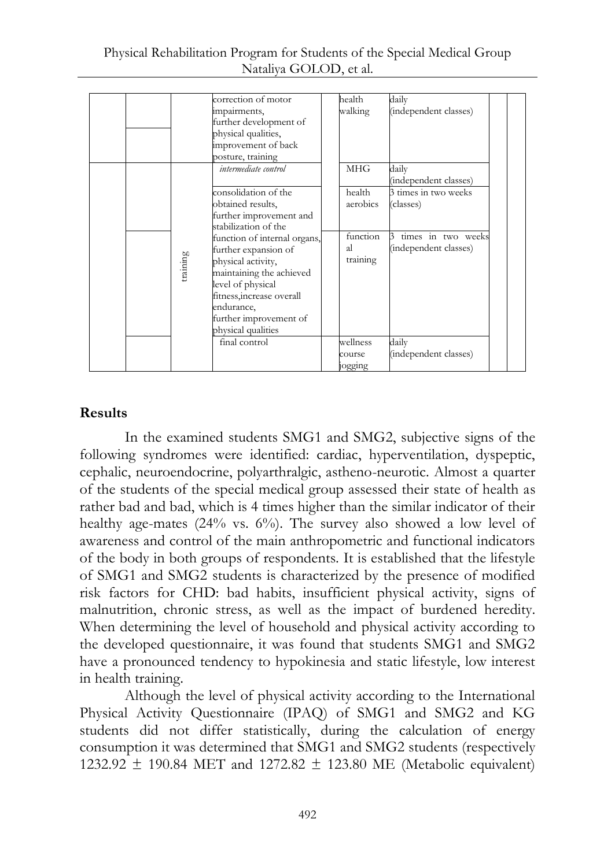| Physical Rehabilitation Program for Students of the Special Medical Group |  |
|---------------------------------------------------------------------------|--|
| Nataliya GOLOD, et al.                                                    |  |

|          | correction of motor<br>impairments,<br>further development of<br>physical qualities,<br>improvement of back                                                                                                            | health<br>walking            | daily<br>(independent classes)              |  |
|----------|------------------------------------------------------------------------------------------------------------------------------------------------------------------------------------------------------------------------|------------------------------|---------------------------------------------|--|
|          | posture, training<br>intermediate control                                                                                                                                                                              | <b>MHG</b>                   | dailv<br>(independent classes)              |  |
|          | consolidation of the<br>obtained results,<br>further improvement and<br>stabilization of the                                                                                                                           | health<br>aerobics           | 3 times in two weeks<br>(classes)           |  |
| training | function of internal organs,<br>further expansion of<br>physical activity,<br>maintaining the achieved<br>level of physical<br>fitness, increase overall<br>endurance.<br>further improvement of<br>physical qualities | function<br>al.<br>training  | times in two weeks<br>(independent classes) |  |
|          | final control                                                                                                                                                                                                          | wellness<br>course<br>ogging | daily<br>(independent classes)              |  |

### **Results**

In the examined students SMG1 and SMG2, subjective signs of the following syndromes were identified: cardiac, hyperventilation, dyspeptic, cephalic, neuroendocrine, polyarthralgic, astheno-neurotic. Almost a quarter of the students of the special medical group assessed their state of health as rather bad and bad, which is 4 times higher than the similar indicator of their healthy age-mates  $(24\% \text{ vs. } 6\%)$ . The survey also showed a low level of awareness and control of the main anthropometric and functional indicators of the body in both groups of respondents. It is established that the lifestyle of SMG1 and SMG2 students is characterized by the presence of modified risk factors for CHD: bad habits, insufficient physical activity, signs of malnutrition, chronic stress, as well as the impact of burdened heredity. When determining the level of household and physical activity according to the developed questionnaire, it was found that students SMG1 and SMG2 have a pronounced tendency to hypokinesia and static lifestyle, low interest in health training.

Although the level of physical activity according to the International Physical Activity Questionnaire (IPAQ) of SMG1 and SMG2 and KG students did not differ statistically, during the calculation of energy consumption it was determined that SMG1 and SMG2 students (respectively 1232.92  $\pm$  190.84 MET and 1272.82  $\pm$  123.80 ME (Metabolic equivalent)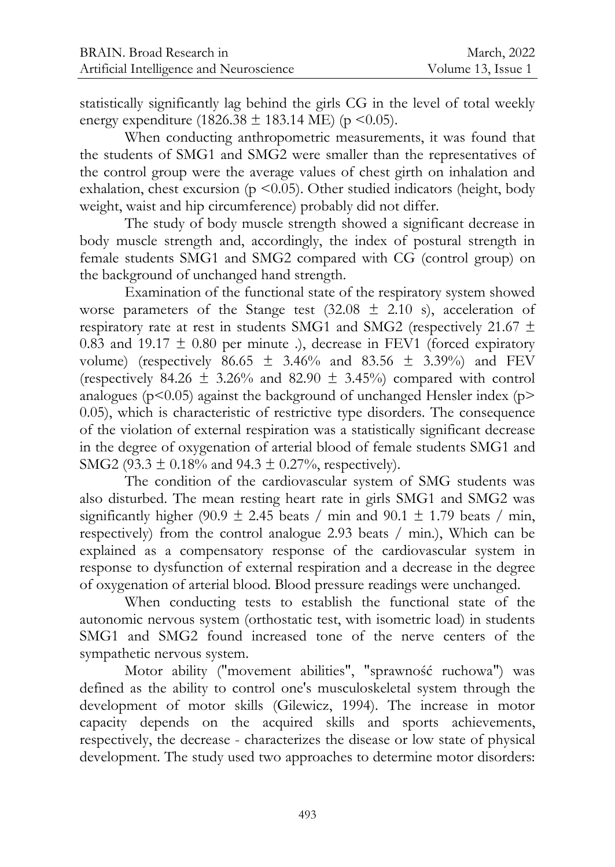statistically significantly lag behind the girls CG in the level of total weekly energy expenditure (1826.38  $\pm$  183.14 ME) (p < 0.05).

When conducting anthropometric measurements, it was found that the students of SMG1 and SMG2 were smaller than the representatives of the control group were the average values of chest girth on inhalation and exhalation, chest excursion ( $p \le 0.05$ ). Other studied indicators (height, body weight, waist and hip circumference) probably did not differ.

The study of body muscle strength showed a significant decrease in body muscle strength and, accordingly, the index of postural strength in female students SMG1 and SMG2 compared with CG (control group) on the background of unchanged hand strength.

Examination of the functional state of the respiratory system showed worse parameters of the Stange test  $(32.08 \pm 2.10 \text{ s})$ , acceleration of respiratory rate at rest in students SMG1 and SMG2 (respectively 21.67 ± 0.83 and 19.17  $\pm$  0.80 per minute .), decrease in FEV1 (forced expiratory volume) (respectively  $86.65 \pm 3.46\%$  and  $83.56 \pm 3.39\%$ ) and FEV (respectively 84.26  $\pm$  3.26% and 82.90  $\pm$  3.45%) compared with control analogues ( $p$ <0.05) against the background of unchanged Hensler index ( $p$ > 0.05), which is characteristic of restrictive type disorders. The consequence of the violation of external respiration was a statistically significant decrease in the degree of oxygenation of arterial blood of female students SMG1 and SMG2 (93.3  $\pm$  0.18% and 94.3  $\pm$  0.27%, respectively).

The condition of the cardiovascular system of SMG students was also disturbed. The mean resting heart rate in girls SMG1 and SMG2 was significantly higher (90.9  $\pm$  2.45 beats / min and 90.1  $\pm$  1.79 beats / min, respectively) from the control analogue 2.93 beats / min.), Which can be explained as a compensatory response of the cardiovascular system in response to dysfunction of external respiration and a decrease in the degree of oxygenation of arterial blood. Blood pressure readings were unchanged.

When conducting tests to establish the functional state of the autonomic nervous system (orthostatic test, with isometric load) in students SMG1 and SMG2 found increased tone of the nerve centers of the sympathetic nervous system.

Motor ability ("movement abilities", "sprawność ruchowa") was defined as the ability to control one's musculoskeletal system through the development of motor skills (Gilewicz, 1994). The increase in motor capacity depends on the acquired skills and sports achievements, respectively, the decrease - characterizes the disease or low state of physical development. The study used two approaches to determine motor disorders: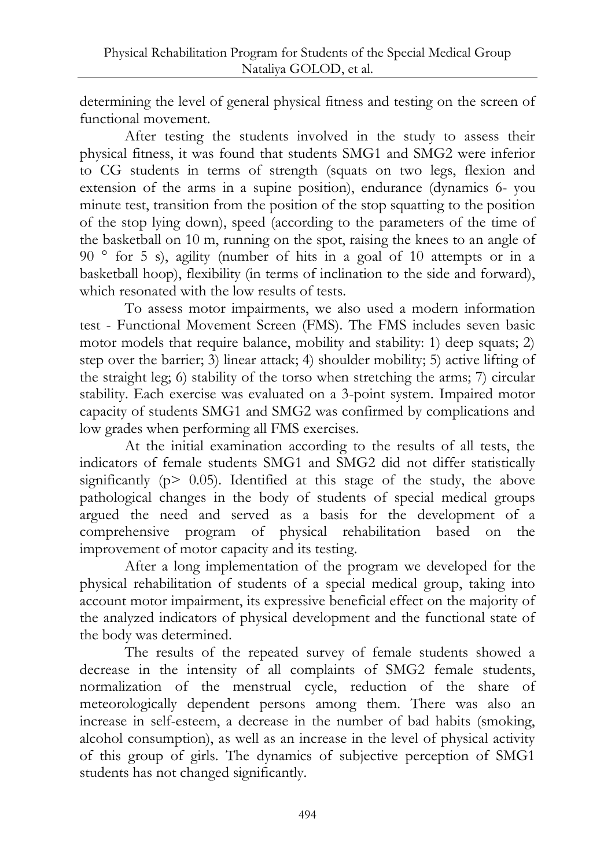determining the level of general physical fitness and testing on the screen of functional movement.

After testing the students involved in the study to assess their physical fitness, it was found that students SMG1 and SMG2 were inferior to CG students in terms of strength (squats on two legs, flexion and extension of the arms in a supine position), endurance (dynamics 6- you minute test, transition from the position of the stop squatting to the position of the stop lying down), speed (according to the parameters of the time of the basketball on 10 m, running on the spot, raising the knees to an angle of 90 ° for 5 s), agility (number of hits in a goal of 10 attempts or in a basketball hoop), flexibility (in terms of inclination to the side and forward), which resonated with the low results of tests.

To assess motor impairments, we also used a modern information test - Functional Movement Screen (FMS). The FMS includes seven basic motor models that require balance, mobility and stability: 1) deep squats; 2) step over the barrier; 3) linear attack; 4) shoulder mobility; 5) active lifting of the straight leg; 6) stability of the torso when stretching the arms; 7) circular stability. Each exercise was evaluated on a 3-point system. Impaired motor capacity of students SMG1 and SMG2 was confirmed by complications and low grades when performing all FMS exercises.

At the initial examination according to the results of all tests, the indicators of female students SMG1 and SMG2 did not differ statistically significantly ( $p > 0.05$ ). Identified at this stage of the study, the above pathological changes in the body of students of special medical groups argued the need and served as a basis for the development of a comprehensive program of physical rehabilitation based on the improvement of motor capacity and its testing.

After a long implementation of the program we developed for the physical rehabilitation of students of a special medical group, taking into account motor impairment, its expressive beneficial effect on the majority of the analyzed indicators of physical development and the functional state of the body was determined.

The results of the repeated survey of female students showed a decrease in the intensity of all complaints of SMG2 female students, normalization of the menstrual cycle, reduction of the share of meteorologically dependent persons among them. There was also an increase in self-esteem, a decrease in the number of bad habits (smoking, alcohol consumption), as well as an increase in the level of physical activity of this group of girls. The dynamics of subjective perception of SMG1 students has not changed significantly.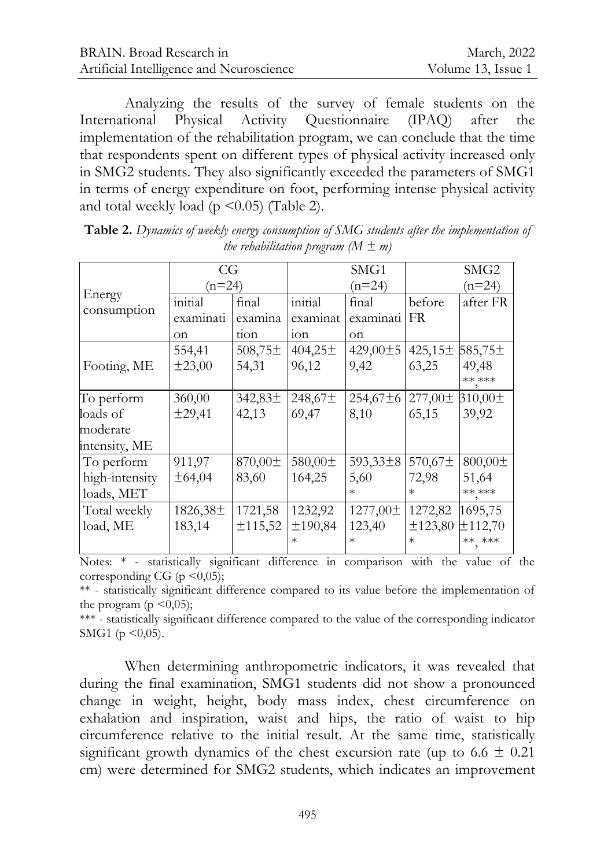| BRAIN. Broad Research in                 | March, 2022        |
|------------------------------------------|--------------------|
| Artificial Intelligence and Neuroscience | Volume 13, Issue 1 |

Analyzing the results of the survey of female students on the International Physical Activity Questionnaire (IPAQ) after the implementation of the rehabilitation program, we can conclude that the time that respondents spent on different types of physical activity increased only in SMG2 students. They also significantly exceeded the parameters of SMG1 in terms of energy expenditure on foot, performing intense physical activity and total weekly load ( $p \le 0.05$ ) (Table 2).

|                                                     | CG<br>$(n=24)$             |                          |                            | SMG1<br>$(n=24)$                     |                              | SMG2<br>$(n=24)$              |
|-----------------------------------------------------|----------------------------|--------------------------|----------------------------|--------------------------------------|------------------------------|-------------------------------|
| Energy<br>consumption                               | initial<br>examinati<br>on | final<br>examina<br>tion | initial<br>examinat<br>10n | final<br>examinati<br><sub>on</sub>  | before<br><b>FR</b>          | after FR                      |
| Footing, ME                                         | 554,41<br>±23,00           | $508,75 \pm$<br>54,31    | $404,25\pm$<br>96,12       | 429,00±5<br>9,42                     | 425,15±<br>63,25             | 585,75±<br>49,48<br>** ***    |
| To perform<br>loads of<br>moderate<br>intensity, ME | 360,00<br>±29,41           | $342,83\pm$<br>42,13     | 248,67±<br>69,47           | 254,67±6<br>8,10                     | $277,00 \pm$<br>65,15        | 310,00±<br>39,92              |
| To perform<br>high-intensity<br>loads, MET          | 911,97<br>±64,04           | 870,00±<br>83,60         | 580,00±<br>164,25          | 593,33±8<br>5,60<br>$\ast$           | 570,67±<br>72,98<br>$^\ast$  | 800,00±<br>51,64<br>$***$ *** |
| Total weekly<br>load, ME                            | $1826,38\pm$<br>183,14     | 1721,58<br>±115,52       | 1232,92<br>±190,84         | $1277,00 \pm$<br>123,40<br>$^{\ast}$ | 1272,82<br>±123,80<br>$\ast$ | 1695,75<br>±112,70<br>** ***  |

**Table 2.** *Dynamics of weekly energy consumption of SMG students after the implementation of the rehabilitation program*  $(M \pm m)$ 

Notes: \* - statistically significant difference in comparison with the value of the corresponding CG ( $p \leq 0.05$ );

\*\* - statistically significant difference compared to its value before the implementation of the program ( $p \leq 0.05$ );

\*\*\* - statistically significant difference compared to the value of the corresponding indicator SMG1 ( $p \le 0.05$ ).

When determining anthropometric indicators, it was revealed that during the final examination, SMG1 students did not show a pronounced change in weight, height, body mass index, chest circumference on exhalation and inspiration, waist and hips, the ratio of waist to hip circumference relative to the initial result. At the same time, statistically significant growth dynamics of the chest excursion rate (up to 6.6  $\pm$  0.21 cm) were determined for SMG2 students, which indicates an improvement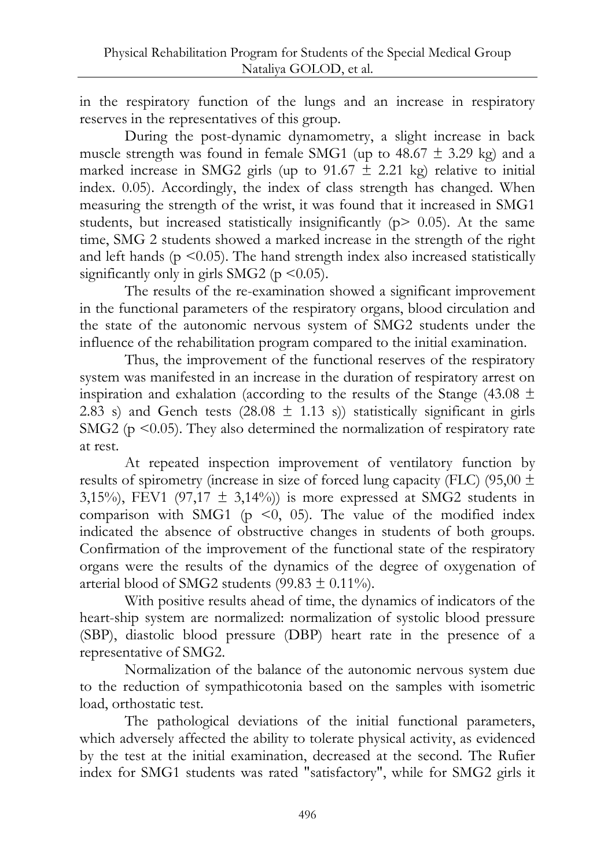in the respiratory function of the lungs and an increase in respiratory reserves in the representatives of this group.

During the post-dynamic dynamometry, a slight increase in back muscle strength was found in female SMG1 (up to  $48.67 \pm 3.29$  kg) and a marked increase in SMG2 girls (up to  $91.67 \pm 2.21$  kg) relative to initial index. 0.05). Accordingly, the index of class strength has changed. When measuring the strength of the wrist, it was found that it increased in SMG1 students, but increased statistically insignificantly ( $p > 0.05$ ). At the same time, SMG 2 students showed a marked increase in the strength of the right and left hands ( $p \le 0.05$ ). The hand strength index also increased statistically significantly only in girls SMG2 ( $p \le 0.05$ ).

The results of the re-examination showed a significant improvement in the functional parameters of the respiratory organs, blood circulation and the state of the autonomic nervous system of SMG2 students under the influence of the rehabilitation program compared to the initial examination.

Thus, the improvement of the functional reserves of the respiratory system was manifested in an increase in the duration of respiratory arrest on inspiration and exhalation (according to the results of the Stange (43.08  $\pm$ ) 2.83 s) and Gench tests (28.08  $\pm$  1.13 s)) statistically significant in girls SMG2 ( $p \le 0.05$ ). They also determined the normalization of respiratory rate at rest.

At repeated inspection improvement of ventilatory function by results of spirometry (increase in size of forced lung capacity (FLC) (95,00  $\pm$ 3,15%), FEV1 (97,17  $\pm$  3,14%)) is more expressed at SMG2 students in comparison with SMG1 ( $p \le 0$ , 05). The value of the modified index indicated the absence of obstructive changes in students of both groups. Confirmation of the improvement of the functional state of the respiratory organs were the results of the dynamics of the degree of oxygenation of arterial blood of SMG2 students (99.83  $\pm$  0.11%).

With positive results ahead of time, the dynamics of indicators of the heart-ship system are normalized: normalization of systolic blood pressure (SBP), diastolic blood pressure (DBP) heart rate in the presence of a representative of SMG2.

Normalization of the balance of the autonomic nervous system due to the reduction of sympathicotonia based on the samples with isometric load, orthostatic test.

The pathological deviations of the initial functional parameters, which adversely affected the ability to tolerate physical activity, as evidenced by the test at the initial examination, decreased at the second. The Rufier index for SMG1 students was rated "satisfactory", while for SMG2 girls it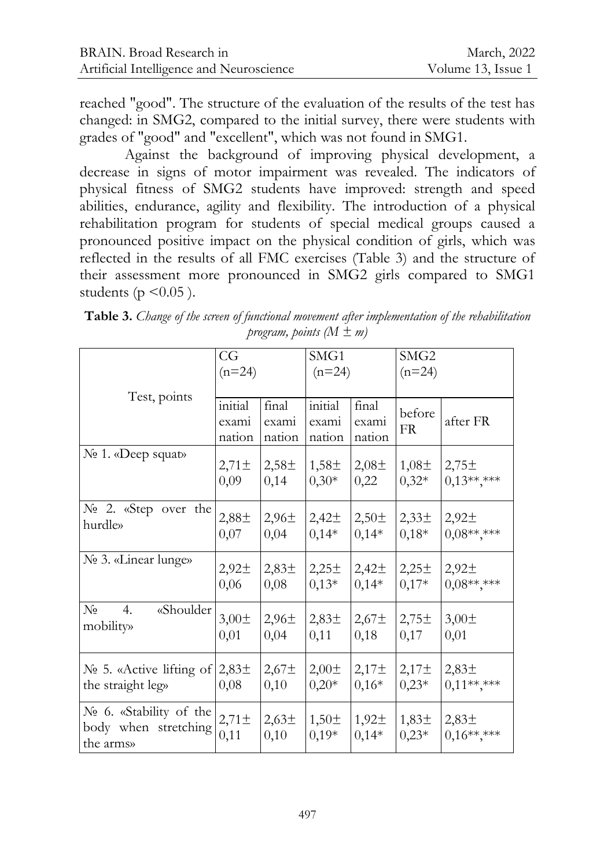reached "good". The structure of the evaluation of the results of the test has changed: in SMG2, compared to the initial survey, there were students with grades of "good" and "excellent", which was not found in SMG1.

Against the background of improving physical development, a decrease in signs of motor impairment was revealed. The indicators of physical fitness of SMG2 students have improved: strength and speed abilities, endurance, agility and flexibility. The introduction of a physical rehabilitation program for students of special medical groups caused a pronounced positive impact on the physical condition of girls, which was reflected in the results of all FMC exercises (Table 3) and the structure of their assessment more pronounced in SMG2 girls compared to SMG1 students ( $p \leq 0.05$ ).

|                                                              | CG<br>$(n=24)$             |                           | SMG1<br>$(n=24)$           |                              | SMG <sub>2</sub><br>$(n=24)$ |                                  |
|--------------------------------------------------------------|----------------------------|---------------------------|----------------------------|------------------------------|------------------------------|----------------------------------|
| Test, points                                                 | initial<br>exami<br>nation | final<br>exami<br>nation  | initial<br>exami<br>nation | final<br>exami<br>nation     | before<br><b>FR</b>          | after FR                         |
| No 1. «Deep squat»                                           | $2,71 \pm$                 | 2,58 <sup>±</sup>         | $1,58\pm$                  | $2,08\pm$                    | $1,08\pm$                    | 2,75 <sup>±</sup>                |
|                                                              | 0,09                       | 0,14                      | $0,30*$                    | 0,22                         | $0,32*$                      | $0.13******$                     |
| No 2. «Step over the                                         | 2,88±                      | 2,96 <sup>±</sup>         | 2,42 <sup>±</sup>          | 2,50 <sup>±</sup>            | $2,33\pm$                    | 2,92 <sup>±</sup>                |
| hurdle»                                                      | 0,07                       | 0,04                      | $0,14*$                    | $0,14*$                      | $0,18*$                      | $0,08******$                     |
| No 3. «Linear lunge»                                         | 2,92 <sup>±</sup>          | 2,83 <sup>±</sup>         | 2,25 <sup>±</sup>          | 2,42 <sup>±</sup>            | 2,25 <sup>±</sup>            | 2,92 <sup>±</sup>                |
|                                                              | 0,06                       | 0,08                      | $0,13*$                    | $0,14*$                      | $0,17*$                      | $0.08******$                     |
| $N_2$<br>«Shoulder<br>4.<br>mobility»                        | $3,00 \pm$<br>0,01         | 2,96 <sup>±</sup><br>0,04 | 2,83 <sup>±</sup><br>0,11  | $2,67\pm$<br>0,18            | 2,75 <sup>±</sup><br>0,17    | $3,00\pm$<br>0,01                |
| $N2$ 5. «Active lifting of                                   | 2,83 <sup>±</sup>          | 2,67 <sup>±</sup>         | $2,00\pm$                  | 2,17 <sup>±</sup>            | 2,17 <sup>±</sup>            | 2,83 <sup>±</sup>                |
| the straight leg»                                            | 0,08                       | 0,10                      | $0,20*$                    | $0,16*$                      | $0,23*$                      | $0,11******$                     |
| No 6. «Stability of the<br>body when stretching<br>the arms» | $2,71 \pm$<br>0,11         | 2,63 <sup>±</sup><br>0,10 | $1,50 \pm$<br>$0,19*$      | 1,92 <sup>±</sup><br>$0,14*$ | $1,83\pm$<br>$0,23*$         | 2,83 <sup>±</sup><br>$0,16*****$ |

**Table 3.** *Change of the screen of functional movement after implementation of the rehabilitation program, points (M ± m)*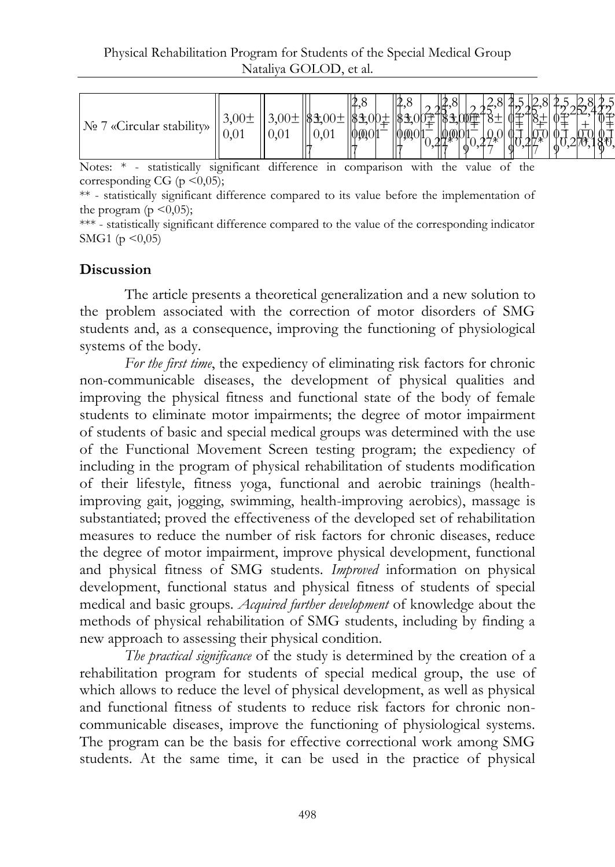| cular stability»<br>JNº.<br>11C | $\cup$ , $\cup$ . |  | ٠Λ.<br>L.<br>$v_{\bullet}v$ | $401^{-}$ | 2,8<br>$\theta$ | ١ŕ<br>XTI)<br>0 |  | $-$ | π₹<br>0<br>ზ<br>0 |
|---------------------------------|-------------------|--|-----------------------------|-----------|-----------------|-----------------|--|-----|-------------------|
|---------------------------------|-------------------|--|-----------------------------|-----------|-----------------|-----------------|--|-----|-------------------|

Notes: \* - statistically significant difference in comparison with the value of the corresponding CG ( $p \leq 0.05$ );

\*\* - statistically significant difference compared to its value before the implementation of the program ( $p \leq 0.05$ );

\*\*\* - statistically significant difference compared to the value of the corresponding indicator SMG1 ( $p \le 0.05$ )

## **Discussion**

The article presents a theoretical generalization and a new solution to the problem associated with the correction of motor disorders of SMG students and, as a consequence, improving the functioning of physiological systems of the body.

*For the first time*, the expediency of eliminating risk factors for chronic non-communicable diseases, the development of physical qualities and improving the physical fitness and functional state of the body of female students to eliminate motor impairments; the degree of motor impairment of students of basic and special medical groups was determined with the use of the Functional Movement Screen testing program; the expediency of including in the program of physical rehabilitation of students modification of their lifestyle, fitness yoga, functional and aerobic trainings (healthimproving gait, jogging, swimming, health-improving aerobics), massage is substantiated; proved the effectiveness of the developed set of rehabilitation measures to reduce the number of risk factors for chronic diseases, reduce the degree of motor impairment, improve physical development, functional and physical fitness of SMG students. *Improved* information on physical development, functional status and physical fitness of students of special medical and basic groups. *Acquired further development* of knowledge about the methods of physical rehabilitation of SMG students, including by finding a new approach to assessing their physical condition.

*The practical significance* of the study is determined by the creation of a rehabilitation program for students of special medical group, the use of which allows to reduce the level of physical development, as well as physical and functional fitness of students to reduce risk factors for chronic noncommunicable diseases, improve the functioning of physiological systems. The program can be the basis for effective correctional work among SMG students. At the same time, it can be used in the practice of physical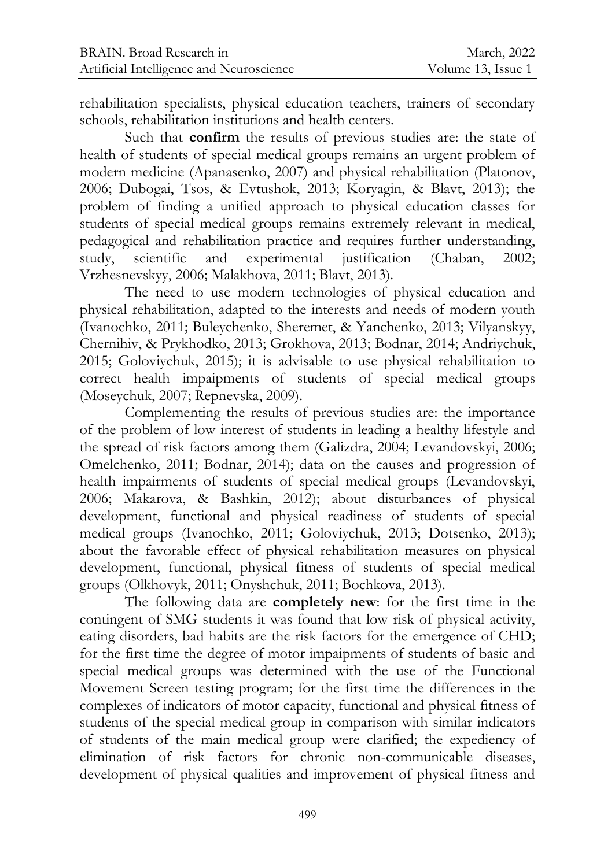rehabilitation specialists, physical education teachers, trainers of secondary schools, rehabilitation institutions and health centers.

Such that **confirm** the results of previous studies are: the state of health of students of special medical groups remains an urgent problem of modern medicine (Apanasenko, 2007) and physical rehabilitation (Platonov, 2006; Dubogai, Tsos, & Evtushok, 2013; Koryagin, & Blavt, 2013); the problem of finding a unified approach to physical education classes for students of special medical groups remains extremely relevant in medical, pedagogical and rehabilitation practice and requires further understanding, study, scientific and experimental justification (Chaban, 2002; Vrzhesnevskyy, 2006; Malakhova, 2011; Blavt, 2013).

The need to use modern technologies of physical education and physical rehabilitation, adapted to the interests and needs of modern youth (Ivanochko, 2011; Buleychenko, Sheremet, & Yanchenko, 2013; Vilyanskyy, Chernihiv, & Prykhodko, 2013; Grokhova, 2013; Bodnar, 2014; Andriychuk, 2015; Goloviychuk, 2015); it is advisable to use physical rehabilitation to correct health impaipments of students of special medical groups (Moseychuk, 2007; Repnevska, 2009).

Complementing the results of previous studies are: the importance of the problem of low interest of students in leading a healthy lifestyle and the spread of risk factors among them (Galizdra, 2004; Levandovskyi, 2006; Omelchenko, 2011; Bodnar, 2014); data on the causes and progression of health impairments of students of special medical groups (Levandovskyi, 2006; Makarova, & Bashkin, 2012); about disturbances of physical development, functional and physical readiness of students of special medical groups (Ivanochko, 2011; Goloviychuk, 2013; Dotsenko, 2013); about the favorable effect of physical rehabilitation measures on physical development, functional, physical fitness of students of special medical groups (Olkhovyk, 2011; Onyshchuk, 2011; Bochkova, 2013).

The following data are **completely new**: for the first time in the contingent of SMG students it was found that low risk of physical activity, eating disorders, bad habits are the risk factors for the emergence of CHD; for the first time the degree of motor impaipments of students of basic and special medical groups was determined with the use of the Functional Movement Screen testing program; for the first time the differences in the complexes of indicators of motor capacity, functional and physical fitness of students of the special medical group in comparison with similar indicators of students of the main medical group were clarified; the expediency of elimination of risk factors for chronic non-communicable diseases, development of physical qualities and improvement of physical fitness and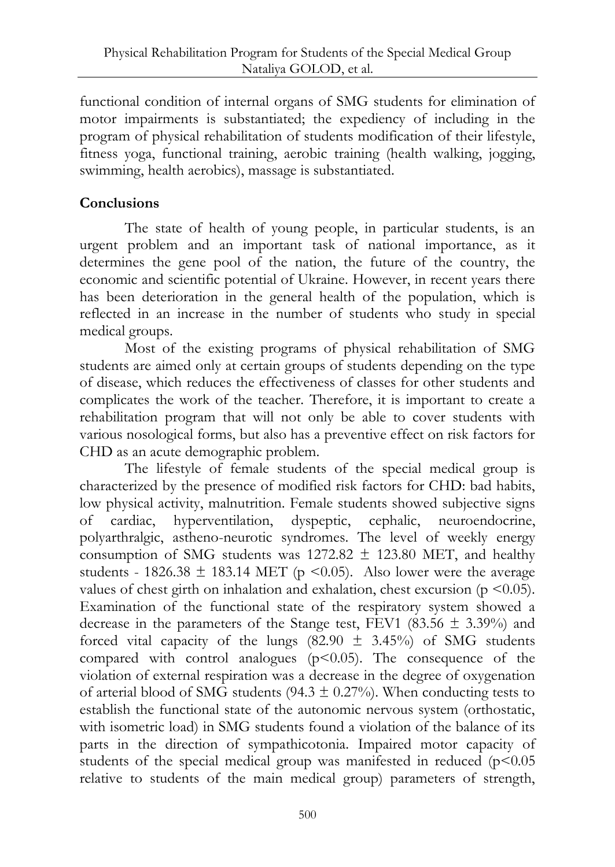functional condition of internal organs of SMG students for elimination of motor impairments is substantiated; the expediency of including in the program of physical rehabilitation of students modification of their lifestyle, fitness yoga, functional training, aerobic training (health walking, jogging, swimming, health aerobics), massage is substantiated.

## **Conclusions**

The state of health of young people, in particular students, is an urgent problem and an important task of national importance, as it determines the gene pool of the nation, the future of the country, the economic and scientific potential of Ukraine. However, in recent years there has been deterioration in the general health of the population, which is reflected in an increase in the number of students who study in special medical groups.

Most of the existing programs of physical rehabilitation of SMG students are aimed only at certain groups of students depending on the type of disease, which reduces the effectiveness of classes for other students and complicates the work of the teacher. Therefore, it is important to create a rehabilitation program that will not only be able to cover students with various nosological forms, but also has a preventive effect on risk factors for CHD as an acute demographic problem.

The lifestyle of female students of the special medical group is characterized by the presence of modified risk factors for CHD: bad habits, low physical activity, malnutrition. Female students showed subjective signs of cardiac, hyperventilation, dyspeptic, cephalic, neuroendocrine, polyarthralgic, astheno-neurotic syndromes. The level of weekly energy consumption of SMG students was  $1272.82 \pm 123.80$  MET, and healthy students - 1826.38  $\pm$  183.14 MET (p <0.05). Also lower were the average values of chest girth on inhalation and exhalation, chest excursion ( $p \le 0.05$ ). Examination of the functional state of the respiratory system showed a decrease in the parameters of the Stange test, FEV1 (83.56  $\pm$  3.39%) and forced vital capacity of the lungs  $(82.90 \pm 3.45\%)$  of SMG students compared with control analogues  $(p<0.05)$ . The consequence of the violation of external respiration was a decrease in the degree of oxygenation of arterial blood of SMG students (94.3  $\pm$  0.27%). When conducting tests to establish the functional state of the autonomic nervous system (orthostatic, with isometric load) in SMG students found a violation of the balance of its parts in the direction of sympathicotonia. Impaired motor capacity of students of the special medical group was manifested in reduced  $(p<0.05$ relative to students of the main medical group) parameters of strength,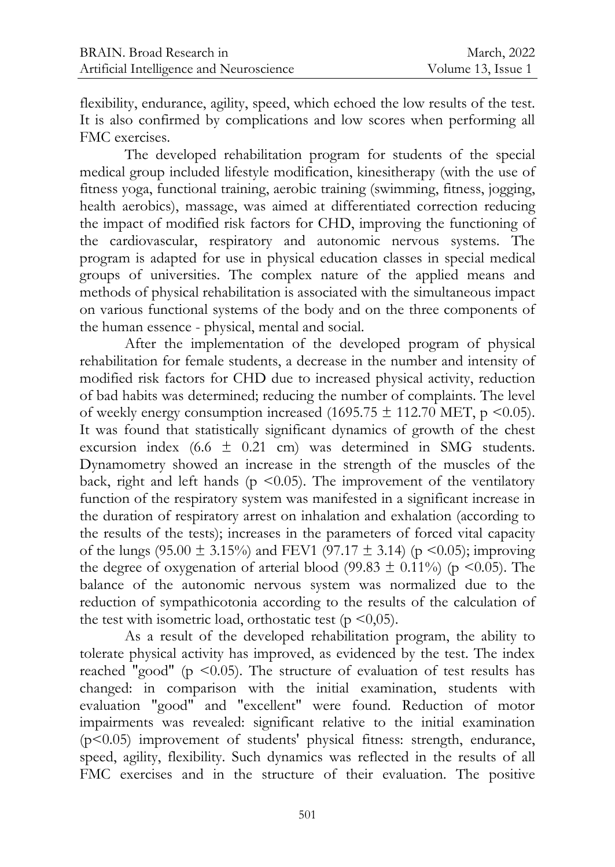flexibility, endurance, agility, speed, which echoed the low results of the test. It is also confirmed by complications and low scores when performing all FMC exercises.

The developed rehabilitation program for students of the special medical group included lifestyle modification, kinesitherapy (with the use of fitness yoga, functional training, aerobic training (swimming, fitness, jogging, health aerobics), massage, was aimed at differentiated correction reducing the impact of modified risk factors for CHD, improving the functioning of the cardiovascular, respiratory and autonomic nervous systems. The program is adapted for use in physical education classes in special medical groups of universities. The complex nature of the applied means and methods of physical rehabilitation is associated with the simultaneous impact on various functional systems of the body and on the three components of the human essence - physical, mental and social.

After the implementation of the developed program of physical rehabilitation for female students, a decrease in the number and intensity of modified risk factors for CHD due to increased physical activity, reduction of bad habits was determined; reducing the number of complaints. The level of weekly energy consumption increased (1695.75  $\pm$  112.70 MET, p <0.05). It was found that statistically significant dynamics of growth of the chest excursion index  $(6.6 \pm 0.21 \text{ cm})$  was determined in SMG students. Dynamometry showed an increase in the strength of the muscles of the back, right and left hands ( $p \le 0.05$ ). The improvement of the ventilatory function of the respiratory system was manifested in a significant increase in the duration of respiratory arrest on inhalation and exhalation (according to the results of the tests); increases in the parameters of forced vital capacity of the lungs (95.00  $\pm$  3.15%) and FEV1 (97.17  $\pm$  3.14) (p <0.05); improving the degree of oxygenation of arterial blood (99.83  $\pm$  0.11%) (p <0.05). The balance of the autonomic nervous system was normalized due to the reduction of sympathicotonia according to the results of the calculation of the test with isometric load, orthostatic test ( $p \le 0.05$ ).

As a result of the developed rehabilitation program, the ability to tolerate physical activity has improved, as evidenced by the test. The index reached "good" (p  $\leq$ 0.05). The structure of evaluation of test results has changed: in comparison with the initial examination, students with evaluation "good" and "excellent" were found. Reduction of motor impairments was revealed: significant relative to the initial examination (p<0.05) improvement of students' physical fitness: strength, endurance, speed, agility, flexibility. Such dynamics was reflected in the results of all FMC exercises and in the structure of their evaluation. The positive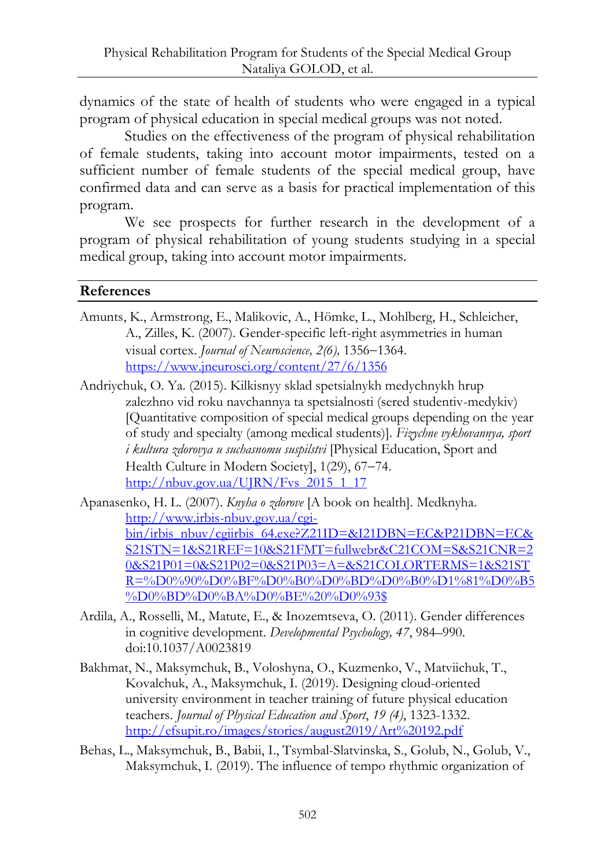dynamics of the state of health of students who were engaged in a typical program of physical education in special medical groups was not noted.

Studies on the effectiveness of the program of physical rehabilitation of female students, taking into account motor impairments, tested on a sufficient number of female students of the special medical group, have confirmed data and can serve as a basis for practical implementation of this program.

We see prospects for further research in the development of a program of physical rehabilitation of young students studying in a special medical group, taking into account motor impairments.

### **References**

- Amunts, K., Armstrong, E., Malikovic, A., Hömke, L., Mohlberg, H., Schleicher, A., Zilles, K. (2007). Gender-specific left-right asymmetries in human visual cortex. *Journal of Neuroscience*, 2(6), 1356-1364. <https://www.jneurosci.org/content/27/6/1356>
- Andriychuk, O. Ya. (2015). Kilkisnyy sklad spetsialnykh medychnykh hrup zalezhno vid roku navchannya ta spetsialnosti (sered studentiv-medykiv) [Quantitative composition of special medical groups depending on the year of study and specialty (among medical students)]. *Fizychne vykhovannya, sport i kultura zdorovya u suchasnomu suspilstvi* [Physical Education, Sport and Health Culture in Modern Societyl, 1(29), 67-74. [http://nbuv.gov.ua/UJRN/Fvs\\_2015\\_1\\_17](http://nbuv.gov.ua/UJRN/Fvs_2015_1_17)

Apanasenko, H. L. (2007). *Knyha o zdorove* [A book on health]. Medknyha. [http://www.irbis-nbuv.gov.ua/cgi](http://www.irbis-nbuv.gov.ua/cgi-bin/irbis_nbuv/cgiirbis_64.exe?Z21ID=&I21DBN=EC&P21DBN=EC&S21STN=1&S21REF=10&S21FMT=fullwebr&C21COM=S&S21CNR=20&S21P01=0&S21P02=0&S21P03=A=&S21COLORTERMS=1&S21STR=%D0%90%D0%BF%D0%B0%D0%BD%D0%B0%D1%81%D0%B5%D0%BD%D0%BA%D0%BE%20%D0%93$)[bin/irbis\\_nbuv/cgiirbis\\_64.exe?Z21ID=&I21DBN=EC&P21DBN=EC&](http://www.irbis-nbuv.gov.ua/cgi-bin/irbis_nbuv/cgiirbis_64.exe?Z21ID=&I21DBN=EC&P21DBN=EC&S21STN=1&S21REF=10&S21FMT=fullwebr&C21COM=S&S21CNR=20&S21P01=0&S21P02=0&S21P03=A=&S21COLORTERMS=1&S21STR=%D0%90%D0%BF%D0%B0%D0%BD%D0%B0%D1%81%D0%B5%D0%BD%D0%BA%D0%BE%20%D0%93$) [S21STN=1&S21REF=10&S21FMT=fullwebr&C21COM=S&S21CNR=2](http://www.irbis-nbuv.gov.ua/cgi-bin/irbis_nbuv/cgiirbis_64.exe?Z21ID=&I21DBN=EC&P21DBN=EC&S21STN=1&S21REF=10&S21FMT=fullwebr&C21COM=S&S21CNR=20&S21P01=0&S21P02=0&S21P03=A=&S21COLORTERMS=1&S21STR=%D0%90%D0%BF%D0%B0%D0%BD%D0%B0%D1%81%D0%B5%D0%BD%D0%BA%D0%BE%20%D0%93$) [0&S21P01=0&S21P02=0&S21P03=A=&S21COLORTERMS=1&S21ST](http://www.irbis-nbuv.gov.ua/cgi-bin/irbis_nbuv/cgiirbis_64.exe?Z21ID=&I21DBN=EC&P21DBN=EC&S21STN=1&S21REF=10&S21FMT=fullwebr&C21COM=S&S21CNR=20&S21P01=0&S21P02=0&S21P03=A=&S21COLORTERMS=1&S21STR=%D0%90%D0%BF%D0%B0%D0%BD%D0%B0%D1%81%D0%B5%D0%BD%D0%BA%D0%BE%20%D0%93$) [R=%D0%90%D0%BF%D0%B0%D0%BD%D0%B0%D1%81%D0%B5](http://www.irbis-nbuv.gov.ua/cgi-bin/irbis_nbuv/cgiirbis_64.exe?Z21ID=&I21DBN=EC&P21DBN=EC&S21STN=1&S21REF=10&S21FMT=fullwebr&C21COM=S&S21CNR=20&S21P01=0&S21P02=0&S21P03=A=&S21COLORTERMS=1&S21STR=%D0%90%D0%BF%D0%B0%D0%BD%D0%B0%D1%81%D0%B5%D0%BD%D0%BA%D0%BE%20%D0%93$) [%D0%BD%D0%BA%D0%BE%20%D0%93\\$](http://www.irbis-nbuv.gov.ua/cgi-bin/irbis_nbuv/cgiirbis_64.exe?Z21ID=&I21DBN=EC&P21DBN=EC&S21STN=1&S21REF=10&S21FMT=fullwebr&C21COM=S&S21CNR=20&S21P01=0&S21P02=0&S21P03=A=&S21COLORTERMS=1&S21STR=%D0%90%D0%BF%D0%B0%D0%BD%D0%B0%D1%81%D0%B5%D0%BD%D0%BA%D0%BE%20%D0%93$)

- Ardila, A., Rosselli, M., Matute, E., & Inozemtseva, O. (2011). Gender differences in cognitive development. *Developmental Psychology, 47*, 984–990. doi:10.1037/A0023819
- Bakhmat, N., Maksymchuk, B., Voloshyna, O., Kuzmenko, V., Matviichuk, T., Kovalchuk, A., Maksymchuk, I. (2019). Designing cloud-oriented university environment in teacher training of future physical education teachers. *Journal of Physical Education and Sport*, *19 (4)*, 1323-1332. <http://efsupit.ro/images/stories/august2019/Art%20192.pdf>
- Behas, L., Maksymchuk, B., Babii, I., Tsymbal-Slatvinska, S., Golub, N., Golub, V., Maksymchuk, I. (2019). The influence of tempo rhythmic organization of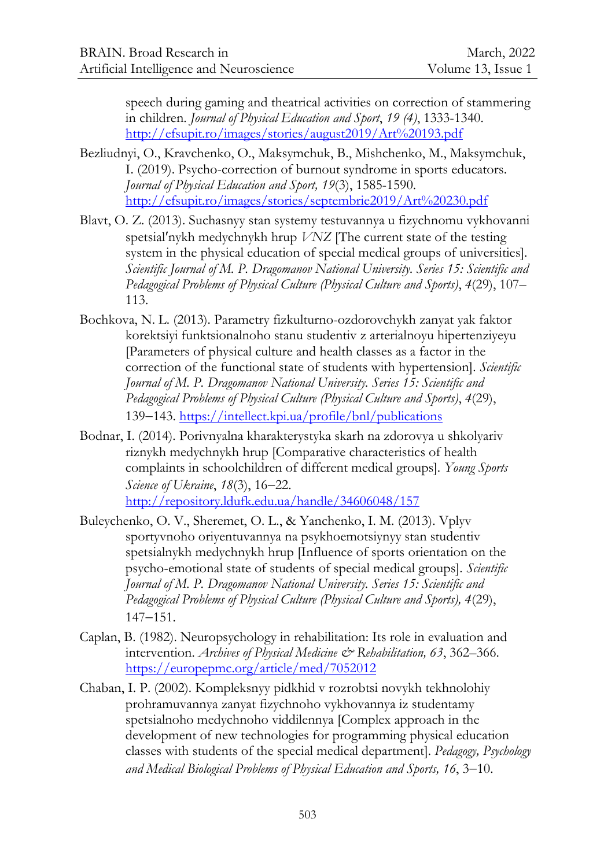speech during gaming and theatrical activities on correction of stammering in children. *Journal of Physical Education and Sport*, *19 (4)*, 1333-1340. <http://efsupit.ro/images/stories/august2019/Art%20193.pdf>

- Bezliudnyi, O., Kravchenko, O., Maksymchuk, B., Mishchenko, M., Maksymchuk, I. (2019). Psycho-correction of burnout syndrome in sports educators. *Journal of Physical Education and Sport, 19*(3), 1585-1590. <http://efsupit.ro/images/stories/septembrie2019/Art%20230.pdf>
- Blavt, O. Z. (2013). Suchasnyy stan systemy testuvannya u fizychnomu vykhovanni spetsialʹnykh medychnykh hrup *VNZ* [The current state of the testing system in the physical education of special medical groups of universities]. *Scientific Journal of M. P. Dragomanov National University. Series 15: Scientific and Pedagogical Problems of Physical Culture (Physical Culture and Sports)*, *4*(29), 107– 113.
- Bochkova, N. L. (2013). Parametry fizkulturno-ozdorovchykh zanyat yak faktor korektsiyi funktsionalnoho stanu studentiv z arterialnoyu hipertenziyeyu [Parameters of physical culture and health classes as a factor in the correction of the functional state of students with hypertension]. *Scientific Journal of M. P. Dragomanov National University. Series 15: Scientific and Pedagogical Problems of Physical Culture (Physical Culture and Sports)*, *4*(29), 139–143.<https://intellect.kpi.ua/profile/bnl/publications>
- Bodnar, I. (2014). Porivnyalna kharakterystyka skarh na zdorovya u shkolyariv riznykh medychnykh hrup [Comparative characteristics of health complaints in schoolchildren of different medical groups]. *Young Sports Science of Ukraine*, 18(3), 16–22. <http://repository.ldufk.edu.ua/handle/34606048/157>
- Buleychenko, O. V., Sheremet, O. L., & Yanchenko, I. M. (2013). Vplyv sportyvnoho oriyentuvannya na psykhoemotsiynyy stan studentiv spetsialnykh medychnykh hrup [Influence of sports orientation on the psycho-emotional state of students of special medical groups]. *Scientific Journal of M. P. Dragomanov National University. Series 15: Scientific and Pedagogical Problems of Physical Culture (Physical Culture and Sports), 4*(29),  $147 - 151.$
- Caplan, B. (1982). Neuropsychology in rehabilitation: Its role in evaluation and intervention. *Archives of Physical Medicine & Rehabilitation, 63*, 362–366. <https://europepmc.org/article/med/7052012>
- Chaban, I. P. (2002). Kompleksnyy pidkhid v rozrobtsi novykh tekhnolohiy prohramuvannya zanyat fizychnoho vykhovannya iz studentamy spetsialnoho medychnoho viddilennya [Complex approach in the development of new technologies for programming physical education classes with students of the special medical department]. *Pedagogy, Psychology*  and Medical Biological Problems of Physical Education and Sports, 16, 3-10.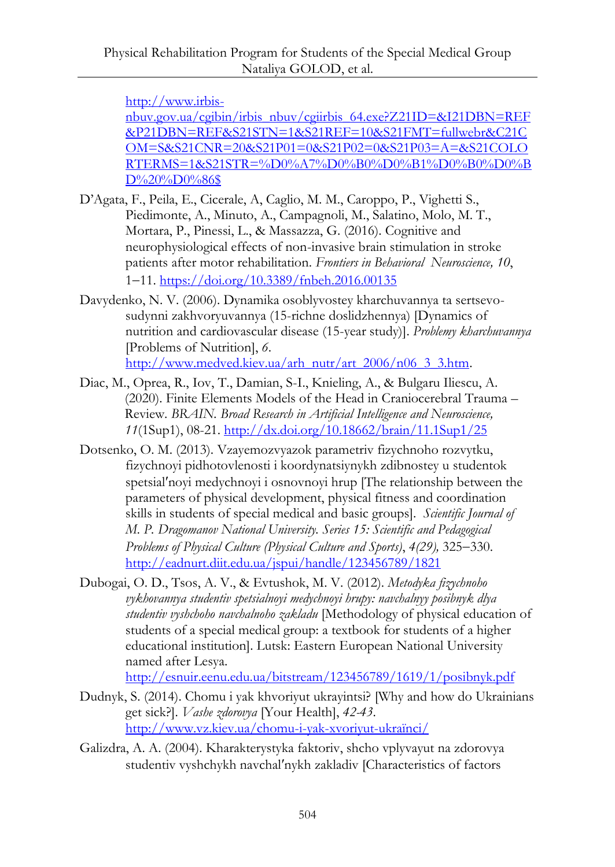[http://www.irbis-](http://www.irbis-nbuv.gov.ua/cgibin/irbis_nbuv/cgiirbis_64.exe?Z21ID=&I21DBN=REF&P21DBN=REF&S21STN=1&S21REF=10&S21FMT=fullwebr&C21COM=S&S21CNR=20&S21P01=0&S21P02=0&S21P03=A=&S21COLORTERMS=1&S21STR=%D0%A7%D0%B0%D0%B1%D0%B0%D0%BD%20%D0%86$)

[nbuv.gov.ua/cgibin/irbis\\_nbuv/cgiirbis\\_64.exe?Z21ID=&I21DBN=REF](http://www.irbis-nbuv.gov.ua/cgibin/irbis_nbuv/cgiirbis_64.exe?Z21ID=&I21DBN=REF&P21DBN=REF&S21STN=1&S21REF=10&S21FMT=fullwebr&C21COM=S&S21CNR=20&S21P01=0&S21P02=0&S21P03=A=&S21COLORTERMS=1&S21STR=%D0%A7%D0%B0%D0%B1%D0%B0%D0%BD%20%D0%86$) [&P21DBN=REF&S21STN=1&S21REF=10&S21FMT=fullwebr&C21C](http://www.irbis-nbuv.gov.ua/cgibin/irbis_nbuv/cgiirbis_64.exe?Z21ID=&I21DBN=REF&P21DBN=REF&S21STN=1&S21REF=10&S21FMT=fullwebr&C21COM=S&S21CNR=20&S21P01=0&S21P02=0&S21P03=A=&S21COLORTERMS=1&S21STR=%D0%A7%D0%B0%D0%B1%D0%B0%D0%BD%20%D0%86$) [OM=S&S21CNR=20&S21P01=0&S21P02=0&S21P03=A=&S21COLO](http://www.irbis-nbuv.gov.ua/cgibin/irbis_nbuv/cgiirbis_64.exe?Z21ID=&I21DBN=REF&P21DBN=REF&S21STN=1&S21REF=10&S21FMT=fullwebr&C21COM=S&S21CNR=20&S21P01=0&S21P02=0&S21P03=A=&S21COLORTERMS=1&S21STR=%D0%A7%D0%B0%D0%B1%D0%B0%D0%BD%20%D0%86$) [RTERMS=1&S21STR=%D0%A7%D0%B0%D0%B1%D0%B0%D0%B](http://www.irbis-nbuv.gov.ua/cgibin/irbis_nbuv/cgiirbis_64.exe?Z21ID=&I21DBN=REF&P21DBN=REF&S21STN=1&S21REF=10&S21FMT=fullwebr&C21COM=S&S21CNR=20&S21P01=0&S21P02=0&S21P03=A=&S21COLORTERMS=1&S21STR=%D0%A7%D0%B0%D0%B1%D0%B0%D0%BD%20%D0%86$) [D%20%D0%86\\$](http://www.irbis-nbuv.gov.ua/cgibin/irbis_nbuv/cgiirbis_64.exe?Z21ID=&I21DBN=REF&P21DBN=REF&S21STN=1&S21REF=10&S21FMT=fullwebr&C21COM=S&S21CNR=20&S21P01=0&S21P02=0&S21P03=A=&S21COLORTERMS=1&S21STR=%D0%A7%D0%B0%D0%B1%D0%B0%D0%BD%20%D0%86$)

- D'Agata, F., Peila, E., Cicerale, A, Caglio, M. M., Caroppo, P., Vighetti S., Piedimonte, A., Minuto, A., Campagnoli, M., Salatino, Molo, M. T., Mortara, P., Pinessi, L., & Massazza, G. (2016). Cognitive and neurophysiological effects of non-invasive brain stimulation in stroke patients after motor rehabilitation. *Frontiers in Behavioral Neuroscience, 10*, 111. <https://doi.org/10.3389/fnbeh.2016.00135>
- Davydenko, N. V. (2006). Dynamika osoblyvostey kharchuvannya ta sertsevosudynni zakhvoryuvannya (15-richne doslidzhennya) [Dynamics of nutrition and cardiovascular disease (15-year study)]. *Problemy kharchuvannya* [Problems of Nutrition], *6*. [http://www.medved.kiev.ua/arh\\_nutr/art\\_2006/n06\\_3\\_3.htm.](http://www.medved.kiev.ua/arh_nutr/art_2006/n06_3_3.htm)
- Diac, M., Oprea, R., Iov, T., Damian, S-I., Knieling, A., & Bulgaru Iliescu, A. (2020). Finite Elements Models of the Head in Craniocerebral Trauma – Review. *BRAIN. Broad Research in Artificial Intelligence and Neuroscience, 11*(1Sup1), 08-21.<http://dx.doi.org/10.18662/brain/11.1Sup1/25>
- Dotsenko, O. M. (2013). Vzayemozvyazok parametriv fizychnoho rozvytku, fizychnoyi pidhotovlenosti i koordynatsiynykh zdibnostey u studentok spetsial'noyi medychnoyi i osnovnoyi hrup [The relationship between the parameters of physical development, physical fitness and coordination skills in students of special medical and basic groups]. *Scientific Journal of M. P. Dragomanov National University. Series 15: Scientific and Pedagogical Problems of Physical Culture (Physical Culture and Sports)*, 4(29), 325–330. <http://eadnurt.diit.edu.ua/jspui/handle/123456789/1821>
- Dubogai, O. D., Tsos, A. V., & Evtushok, M. V. (2012). *Metodyka fizychnoho vykhovannya studentiv spetsialnoyi medychnoyi hrupy: navchalnyy posibnyk dlya studentiv vyshchoho navchalnoho zakladu* [Methodology of physical education of students of a special medical group: a textbook for students of a higher educational institution]. Lutsk: Eastern European National University named after Lesya.

<http://esnuir.eenu.edu.ua/bitstream/123456789/1619/1/posibnyk.pdf>

- Dudnyk, S. (2014). Chomu i yak khvoriyut ukrayintsi? [Why and how do Ukrainians get sick?]. *Vashe zdorovya* [Your Health], *42-43*. [http://www.vz.kiev.ua/chomu-i-yak-xvoriyut-](http://www.vz.kiev.ua/chomu-i-yak-xvoriyut-ukraїnci/)ukraїnci/
- Galizdra, A. A. (2004). Kharakterystyka faktoriv, shcho vplyvayut na zdorovya studentiv vyshchykh navchalʹnykh zakladiv [Characteristics of factors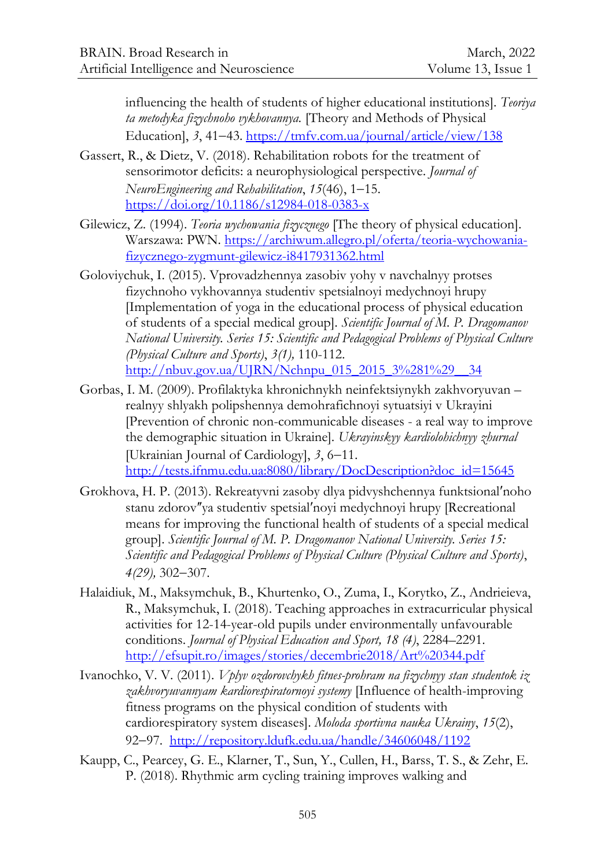influencing the health of students of higher educational institutions]. *Teoriya ta metodyka fizychnoho vykhovannya.* [Theory and Methods of Physical Education], 3, 41-43[. https://tmfv.com.ua/journal/article/view/138](https://tmfv.com.ua/journal/article/view/138)

- Gassert, R., & Dietz, V. (2018). Rehabilitation robots for the treatment of sensorimotor deficits: a neurophysiological perspective. *Journal of NeuroEngineering and Rehabilitation, 15(46), 1-15.* <https://doi.org/10.1186/s12984-018-0383-x>
- Gilewicz, Z. (1994). *Teoria wychowania fizycznego* [The theory of physical education]. Warszawa: PWN. [https://archiwum.allegro.pl/oferta/teoria-wychowania](https://archiwum.allegro.pl/oferta/teoria-wychowania-fizycznego-zygmunt-gilewicz-i8417931362.html)[fizycznego-zygmunt-gilewicz-i8417931362.html](https://archiwum.allegro.pl/oferta/teoria-wychowania-fizycznego-zygmunt-gilewicz-i8417931362.html)
- Goloviychuk, I. (2015). Vprovadzhennya zasobiv yohy v navchalnyy protses fizychnoho vykhovannya studentiv spetsialnoyi medychnoyi hrupy [Implementation of yoga in the educational process of physical education of students of a special medical group]. *Scientific Journal of M. P. Dragomanov National University. Series 15: Scientific and Pedagogical Problems of Physical Culture (Physical Culture and Sports)*, *3(1),* 110-112. [http://nbuv.gov.ua/UJRN/Nchnpu\\_015\\_2015\\_3%281%29\\_\\_34](http://nbuv.gov.ua/UJRN/Nchnpu_015_2015_3%281%29__34)
- Gorbas, I. M. (2009). Profilaktyka khronichnykh neinfektsiynykh zakhvoryuvan realnyy shlyakh polipshennya demohrafichnoyi sytuatsiyi v Ukrayini [Prevention of chronic non-communicable diseases - a real way to improve the demographic situation in Ukraine]. *Ukrayinskyy kardiolohichnyy zhurnal* [Ukrainian Journal of Cardiology], 3, 6–11. [http://tests.ifnmu.edu.ua:8080/library/DocDescription?doc\\_id=15645](http://tests.ifnmu.edu.ua:8080/library/DocDescription?doc_id=15645)
- Grokhova, H. P. (2013). Rekreatyvni zasoby dlya pidvyshchennya funktsionalʹnoho stanu zdorov"ya studentiv spetsial'noyi medychnoyi hrupy [Recreational] means for improving the functional health of students of a special medical group]. *Scientific Journal of M. P. Dragomanov National University. Series 15: Scientific and Pedagogical Problems of Physical Culture (Physical Culture and Sports)*, *4(29)*, 302–307.
- Halaidiuk, M., Maksymchuk, B., Khurtenko, O., Zuma, I., Korytko, Z., Andrieieva, R., Maksymchuk, I. (2018). Teaching approaches in extracurricular physical activities for 12-14-year-old pupils under environmentally unfavourable conditions. *Journal of Physical Education and Sport, 18 (4)*, 2284–2291. <http://efsupit.ro/images/stories/decembrie2018/Art%20344.pdf>
- Ivanochko, V. V. (2011). *Vplyv ozdorovchykh fitnes-prohram na fizychnyy stan studentok iz zakhvoryuvannyam kardiorespiratornoyi systemy* [Influence of health-improving fitness programs on the physical condition of students with cardiorespiratory system diseases]. *Moloda sportivna nauka Ukrainy*, *15*(2), 92-97. <http://repository.ldufk.edu.ua/handle/34606048/1192>
- Kaupp, C., Pearcey, G. E., Klarner, T., Sun, Y., Cullen, H., Barss, T. S., & Zehr, E. P. (2018). Rhythmic arm cycling training improves walking and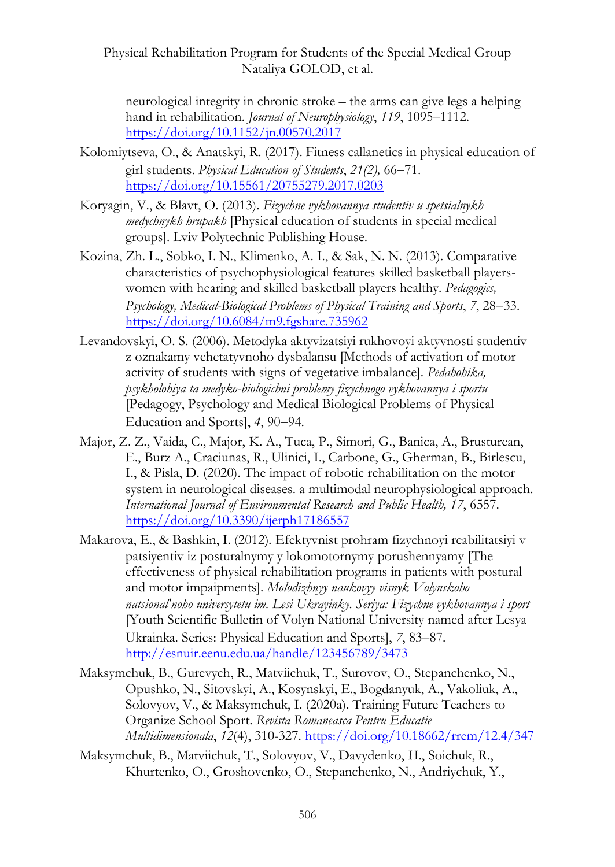neurological integrity in chronic stroke – the arms can give legs a helping hand in rehabilitation. *Journal of Neurophysiology*, *119*, 1095–1112. <https://doi.org/10.1152/jn.00570.2017>

- Kolomiytseva, O., & Anatskyi, R. (2017). Fitness callanetics in physical education of girl students. *Physical Education of Students*, 21(2), 66-71. <https://doi.org/10.15561/20755279.2017.0203>
- Koryagin, V., & Blavt, O. (2013). *Fizychne vykhovannya studentiv u spetsialnykh medychnykh hrupakh* [Physical education of students in special medical groups]. Lviv Polytechnic Publishing House.
- Kozina, Zh. L., Sobko, I. N., Klimenko, A. I., & Sak, N. N. (2013). Comparative characteristics of psychophysiological features skilled basketball playerswomen with hearing and skilled basketball players healthy. *Pedagogics, Psychology, Medical-Biological Problems of Physical Training and Sports, 7, 28–33.* <https://doi.org/10.6084/m9.fgshare.735962>
- Levandovskyi, O. S. (2006). Metodyka aktyvizatsiyi rukhovoyi aktyvnosti studentiv z oznakamy vehetatyvnoho dysbalansu [Methods of activation of motor activity of students with signs of vegetative imbalance]. *Pedahohika, psykholohiya ta medyko-biologichni problemy fizychnogo vykhovannya i sportu*  [Pedagogy, Psychology and Medical Biological Problems of Physical Education and Sports], 4, 90–94.
- Major, Z. Z., Vaida, C., Major, K. A., Tuca, P., Simori, G., Banica, A., Brusturean, E., Burz A., Craciunas, R., Ulinici, I., Carbone, G., Gherman, B., Birlescu, I., & Pisla, D. (2020). The impact of robotic rehabilitation on the motor system in neurological diseases. a multimodal neurophysiological approach. *International Journal of Environmental Research and Public Health, 17*, 6557. <https://doi.org/10.3390/ijerph17186557>
- Makarova, E., & Bashkin, I. (2012)*.* Efektyvnist prohram fizychnoyi reabilitatsiyi v patsiyentiv iz posturalnymy y lokomotornymy porushennyamy [The effectiveness of physical rehabilitation programs in patients with postural and motor impaipments]. *Molodizhnyy naukovyy visnyk Volynskoho natsionalʹnoho universytetu im. Lesi Ukrayinky. Seriya: Fizychne vykhovannya i sport* [Youth Scientific Bulletin of Volyn National University named after Lesya Ukrainka. Series: Physical Education and Sports], 7, 83-87. <http://esnuir.eenu.edu.ua/handle/123456789/3473>
- Maksymchuk, B., Gurevych, R., Matviichuk, T., Surovov, O., Stepanchenko, N., Opushko, N., Sitovskyi, A., Kosynskyi, E., Bogdanyuk, A., Vakoliuk, A., Solovyov, V., & Maksymchuk, I. (2020a). Training Future Teachers to Organize School Sport. *Revista Romaneasca Pentru Educatie Multidimensionala*, *12*(4), 310-327.<https://doi.org/10.18662/rrem/12.4/347>
- Maksymchuk, B., Matviichuk, T., Solovyov, V., Davydenko, H., Soichuk, R., Khurtenko, O., Groshovenko, O., Stepanchenko, N., Andriychuk, Y.,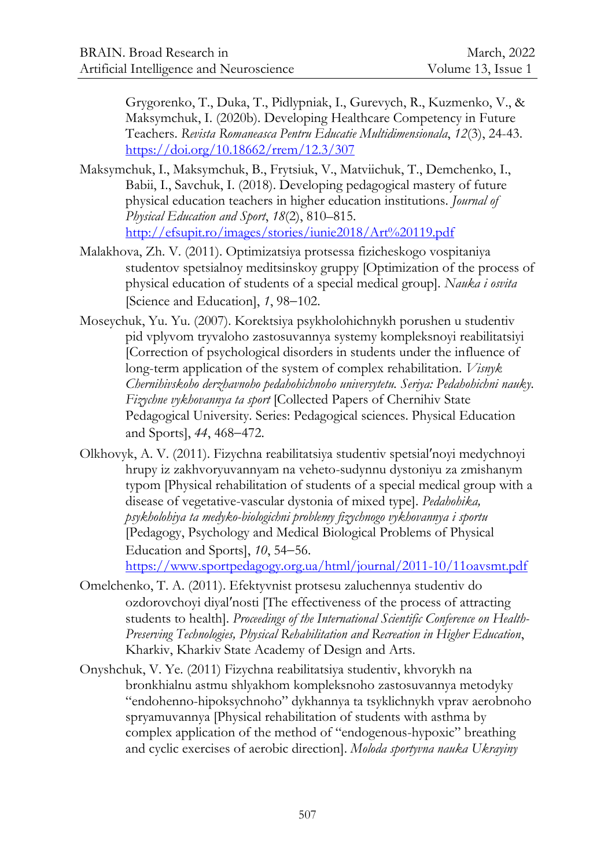Grygorenko, T., Duka, T., Pidlypniak, I., Gurevych, R., Kuzmenko, V., & Maksymchuk, I. (2020b). Developing Healthcare Competency in Future Teachers. *Revista Romaneasca Pentru Educatie Multidimensionala*, *12*(3), 24-43. <https://doi.org/10.18662/rrem/12.3/307>

- Maksymchuk, I., Maksymchuk, B., Frytsiuk, V., Matviichuk, T., Demchenko, I., Babii, I., Savchuk, I. (2018). Developing pedagogical mastery of future physical education teachers in higher education institutions. *Journal of Physical Education and Sport*, *18*(2), 810–815. <http://efsupit.ro/images/stories/iunie2018/Art%20119.pdf>
- Malakhova, Zh. V. (2011). Optimizatsiya protsessa fizicheskogo vospitaniya studentov spetsialnoy meditsinskoy gruppy [Optimization of the process of physical education of students of a special medical group]. *Nauka i osvita* [Science and Education], 1, 98–102.
- Moseychuk, Yu. Yu. (2007). Korektsiya psykholohichnykh porushen u studentiv pid vplyvom tryvaloho zastosuvannya systemy kompleksnoyi reabilitatsiyi [Correction of psychological disorders in students under the influence of long-term application of the system of complex rehabilitation. *Visnyk Chernihivskoho derzhavnoho pedahohichnoho universytetu. Seriya: Pedahohichni nauky. Fizychne vykhovannya ta sport* [Collected Papers of Chernihiv State Pedagogical University. Series: Pedagogical sciences. Physical Education and Sports], 44, 468–472.
- Olkhovyk, A. V. (2011). Fizychna reabilitatsiya studentiv spetsialʹnoyi medychnoyi hrupy iz zakhvoryuvannyam na veheto-sudynnu dystoniyu za zmishanym typom [Physical rehabilitation of students of a special medical group with a disease of vegetative-vascular dystonia of mixed type]. *Pedahohika, psykholohiya ta medyko-biologichni problemy fizychnogo vykhovannya i sportu*  [Pedagogy, Psychology and Medical Biological Problems of Physical Education and Sports], 10, 54–56. <https://www.sportpedagogy.org.ua/html/journal/2011-10/11oavsmt.pdf>
- Omelchenko, T. A. (2011). Efektyvnist protsesu zaluchennya studentiv do ozdorovchoyi diyalʹnosti [The effectiveness of the process of attracting students to health]. *Proceedings of the International Scientific Conference on Health-Preserving Technologies, Physical Rehabilitation and Recreation in Higher Education*, Kharkiv, Kharkiv State Academy of Design and Arts.
- Onyshchuk, V. Ye. (2011) Fizychna reabilitatsiya studentiv, khvorykh na bronkhialnu astmu shlyakhom kompleksnoho zastosuvannya metodyky "endohenno-hipoksychnoho" dykhannya ta tsyklichnykh vprav aerobnoho spryamuvannya [Physical rehabilitation of students with asthma by complex application of the method of "endogenous-hypoxic" breathing and cyclic exercises of aerobic direction]. *Moloda sportyvna nauka Ukrayiny*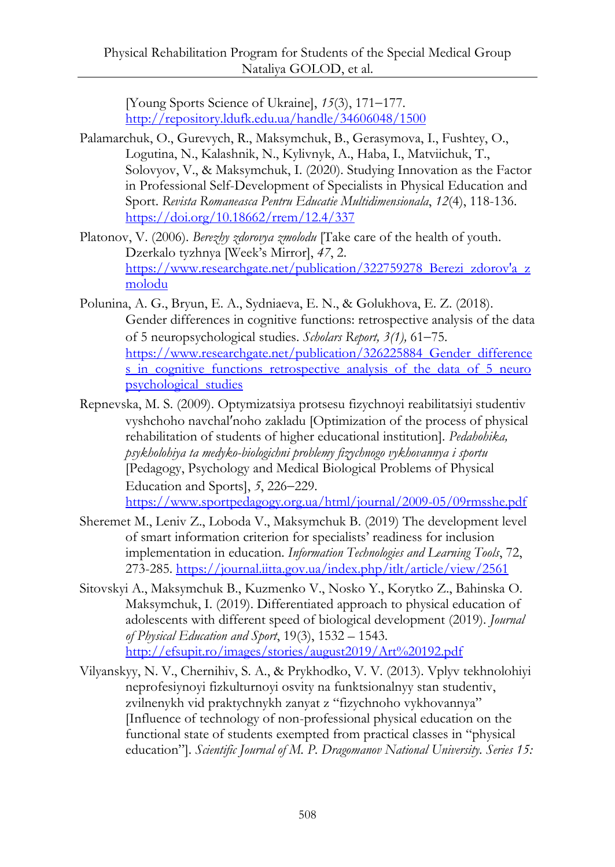[Young Sports Science of Ukraine],  $15(3)$ , 171-177. <http://repository.ldufk.edu.ua/handle/34606048/1500>

- Palamarchuk, O., Gurevych, R., Maksymchuk, B., Gerasymova, I., Fushtey, O., Logutina, N., Kalashnik, N., Kylivnyk, A., Haba, I., Matviichuk, T., Solovyov, V., & Maksymchuk, I. (2020). Studying Innovation as the Factor in Professional Self-Development of Specialists in Physical Education and Sport. *Revista Romaneasca Pentru Educatie Multidimensionala*, *12*(4), 118-136. <https://doi.org/10.18662/rrem/12.4/337>
- Platonov, V. (2006). *Berezhy zdorovya zmolodu* [Take care of the health of youth. Dzerkalo tyzhnya [Week's Mirror], *47*, 2. https://www.researchgate.net/publication/322759278 Berezi zdorov'a z [molodu](https://www.researchgate.net/publication/322759278_Berezi_zdorov)
- Polunina, A. G., Bryun, E. A., Sydniaeva, E. N., & Golukhova, E. Z. (2018). Gender differences in cognitive functions: retrospective analysis of the data of 5 neuropsychological studies. *Scholars Report,* 3(1), 61–75. [https://www.researchgate.net/publication/326225884\\_Gender\\_difference](https://www.researchgate.net/publication/326225884_Gender_differences_in_cognitive_functions_retrospective_analysis_of_the_data_of_5_neuropsychological_studies) [s\\_in\\_cognitive\\_functions\\_retrospective\\_analysis\\_of\\_the\\_data\\_of\\_5\\_neuro](https://www.researchgate.net/publication/326225884_Gender_differences_in_cognitive_functions_retrospective_analysis_of_the_data_of_5_neuropsychological_studies) [psychological\\_studies](https://www.researchgate.net/publication/326225884_Gender_differences_in_cognitive_functions_retrospective_analysis_of_the_data_of_5_neuropsychological_studies)
- Repnevska, M. S. (2009). Optymizatsiya protsesu fizychnoyi reabilitatsiyi studentiv vyshchoho navchalʹnoho zakladu [Optimization of the process of physical rehabilitation of students of higher educational institution]. *Pedahohika, psykholohiya ta medyko-biologichni problemy fizychnogo vykhovannya i sportu*  [Pedagogy, Psychology and Medical Biological Problems of Physical Education and Sports], 5, 226–229. <https://www.sportpedagogy.org.ua/html/journal/2009-05/09rmsshe.pdf>
- Sheremet M., Leniv Z., Loboda V., Maksymchuk B. (2019) The development level of smart information criterion for specialists' readiness for inclusion implementation in education. *Information Technologies and Learning Tools*, 72, 273-285.<https://journal.iitta.gov.ua/index.php/itlt/article/view/2561>
- Sitovskyi A., Maksymchuk B., Kuzmenko V., Nosko Y., Korytko Z., Bahinska O. Maksymchuk, I. (2019). Differentiated approach to physical education of adolescents with different speed of biological development (2019). *Journal of Physical Education and Sport*, 19(3), 1532 – 1543. <http://efsupit.ro/images/stories/august2019/Art%20192.pdf>
- Vilyanskyy, N. V., Chernihiv, S. A., & Prykhodko, V. V. (2013). Vplyv tekhnolohiyi neprofesiynoyi fizkulturnoyi osvity na funktsionalnyy stan studentiv, zvilnenykh vid praktychnykh zanyat z "fizychnoho vykhovannya" [Influence of technology of non-professional physical education on the functional state of students exempted from practical classes in "physical education"]. *Scientific Journal of M. P. Dragomanov National University. Series 15:*